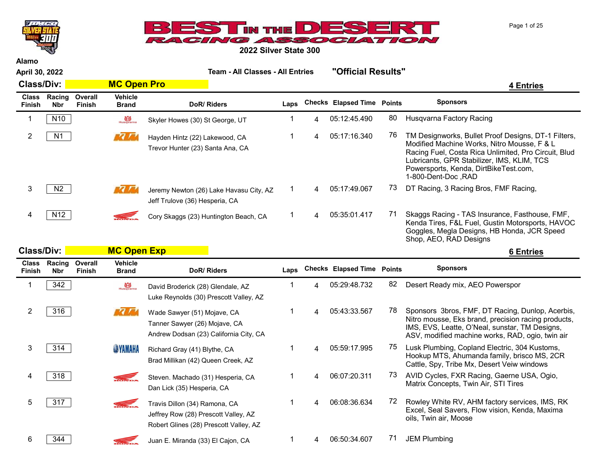



Alamo April 30, 2022 Team - All Classes - All Entries "Official Results" Class/Div: <mark>Annual MC Open Pro 2008</mark> and 2009 and 2009 and 2009 and 2009 and 2009 and 2009 and 2009 and 2009 and Class Racing Finish Nbr **Overall** Finish Vehicle Brand DoR/ Riders Laps Checks Elapsed Time Points Sponsors 1 N10 Note Record Skyler Howes (30) St George, UT 1 4 05:12:45.490 80 Husqvarna Factory Racing 2 N1 N1 Havden Hintz (22) Lakewood CA 1 4 05:17:16.340 76 TM Designworks, Bullet Proof Designs, DT-1 Filters, Modified Machine Works, Nitro Mousse, F & L Racing Fuel, Costa Rica Unlimited, Pro Circuit, Blud Lubricants, GPR Stabilizer, IMS, KLIM, TCS Powersports, Kenda, DirtBikeTest.com, 1-800-Dent-Doc ,RAD Hayden Hintz (22) Lakewood, CA Trevor Hunter (23) Santa Ana, CA 3 N2 N2 Jeremy Newton (26) Lake Havasu City, AZ 1 4 05:17:49.067 73 DT Racing, 3 Racing Bros, FMF Racing, Jeff Trulove (36) Hesperia, CA A N12 N12 Skaggs Racing - TAS Insurance, Fasthouse, FMF, Kenda Tires, F&L Fuel, Gustin Motorsports, HAVOC Goggles, Megla Designs, HB Honda, JCR Speed Shop, AEO, RAD Designs Cory Skaggs (23) Huntington Beach, CA Class/Div: <mark>MC Open Exp and the contract of the contract of the contract of the contract of the contract of the contract of the contract of the contract of the contract of the contract of the contract of the contract of th</mark> Class Racing Finish Nbr **Overall** Finish Vehicle Brand DoR/ Riders Laps Checks Elapsed Time Points Sponsors 1 342 **By Can** David Broderick (28) Glendale, AZ 1 4 05:29:48.732 82 Desert Ready mix, AEO Powerspor Luke Reynolds (30) Prescott Valley, AZ 2 316 Sponsors 3bros, FMF, DT Racing, Dunlop, Acerbis, Nitro mousse, Eks brand, precision racing products, IMS, EVS, Leatte, O'Neal, sunstar, TM Designs, ASV, modified machine works, RAD, ogio, twin air Wade Sawyer (51) Mojave, CA Tanner Sawyer (26) Mojave, CA Andrew Dodsan (23) California City, CA 3 314 **WAMANA** Richard Gray (41) Blythe, CA 33 4 4 5:59:17.995 75 Lusk Plumbing, Copland Electric, 304 Kustoms, Richard Gray (41) Blythe, CA

Hookup MTS, Ahumanda family, brisco MS, 2CR Cattle, Spy, Tribe Mx, Desert Veiw windows Brad Millikan (42) Queen Creek, AZ 4 318 Steven Machado (31) Hesperia CA  $1$  4 06:07:20.311 73 AVID Cycles, FXR Racing, Gaerne USA, Ogio, Matrix Concepts, Twin Air, STI Tires Steven. Machado (31) Hesperia, CA Dan Lick (35) Hesperia, CA 5 317 Travis Dillon (34) Ramona CA 317 1 4 06:08:36.634 72 Rowley White RV, AHM factory services, IMS, RK Excel, Seal Savers, Flow vision, Kenda, Maxima oils, Twin air, Moose Travis Dillon (34) Ramona, CA Jeffrey Row (28) Prescott Valley, AZ Robert Glines (28) Prescott Valley, AZ

6  $\overline{\phantom{0}}$  344 Juan E. Miranda (33) El Cajon, CA 1 4 06:50:34.607 <sup>71</sup> JEM Plumbing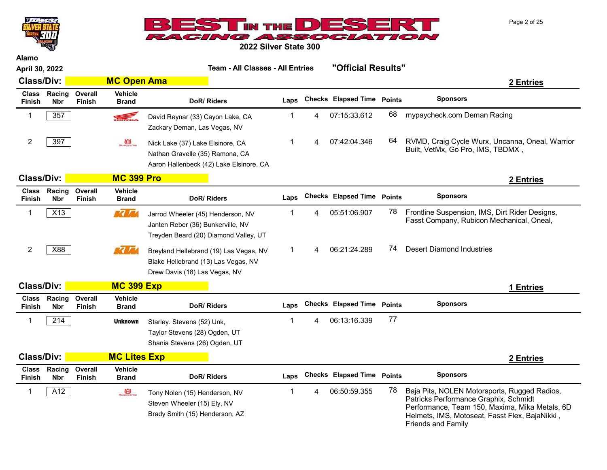



| <b>Alamo</b>                  |                      |                                 |                                |                                                                                                                 |              |   |                                   |    |                                                                                                                                                                                                                        |  |  |
|-------------------------------|----------------------|---------------------------------|--------------------------------|-----------------------------------------------------------------------------------------------------------------|--------------|---|-----------------------------------|----|------------------------------------------------------------------------------------------------------------------------------------------------------------------------------------------------------------------------|--|--|
| April 30, 2022                |                      |                                 |                                | <b>Team - All Classes - All Entries</b>                                                                         |              |   | "Official Results"                |    |                                                                                                                                                                                                                        |  |  |
| <b>Class/Div:</b>             |                      |                                 | <b>MC Open Ama</b>             |                                                                                                                 |              |   |                                   |    | 2 Entries                                                                                                                                                                                                              |  |  |
| <b>Class</b><br>Finish        | Racing<br><b>Nbr</b> | Overall<br><b>Finish</b>        | <b>Vehicle</b><br><b>Brand</b> | DoR/Riders                                                                                                      | Laps         |   | <b>Checks Elapsed Time Points</b> |    | <b>Sponsors</b>                                                                                                                                                                                                        |  |  |
| $\mathbf{1}$                  | 357                  |                                 | <b>SEL</b>                     | David Reynar (33) Cayon Lake, CA<br>Zackary Deman, Las Vegas, NV                                                | 1            | 4 | 07:15:33.612                      | 68 | mypaycheck.com Deman Racing                                                                                                                                                                                            |  |  |
| $\overline{2}$                | 397                  |                                 | Husqvarna                      | Nick Lake (37) Lake Elsinore, CA<br>Nathan Gravelle (35) Ramona, CA<br>Aaron Hallenbeck (42) Lake Elsinore, CA  | 1            | 4 | 07:42:04.346                      | 64 | RVMD, Craig Cycle Wurx, Uncanna, Oneal, Warrior<br>Built, VetMx, Go Pro, IMS, TBDMX,                                                                                                                                   |  |  |
| <b>Class/Div:</b>             |                      |                                 | <b>MC 399 Pro</b>              |                                                                                                                 |              |   |                                   |    | 2 Entries                                                                                                                                                                                                              |  |  |
| <b>Class</b><br><b>Finish</b> | Racing<br><b>Nbr</b> | Overall<br><b>Finish</b>        | <b>Vehicle</b><br><b>Brand</b> | DoR/Riders                                                                                                      | Laps         |   | <b>Checks Elapsed Time Points</b> |    | <b>Sponsors</b>                                                                                                                                                                                                        |  |  |
| 1                             | X13                  |                                 | $\sqrt{7}$                     | Jarrod Wheeler (45) Henderson, NV<br>Janten Reber (36) Bunkerville, NV<br>Treyden Beard (20) Diamond Valley, UT | $\mathbf 1$  | 4 | 05:51:06.907                      | 78 | Frontline Suspension, IMS, Dirt Rider Designs,<br>Fasst Company, Rubicon Mechanical, Oneal,                                                                                                                            |  |  |
| $\overline{c}$                | X88                  |                                 | <b>REAL AND</b>                | Breyland Hellebrand (19) Las Vegas, NV<br>Blake Hellebrand (13) Las Vegas, NV<br>Drew Davis (18) Las Vegas, NV  | $\mathbf{1}$ | 4 | 06:21:24.289                      | 74 | <b>Desert Diamond Industries</b>                                                                                                                                                                                       |  |  |
| <b>Class/Div:</b>             |                      |                                 | <b>MC 399 Exp</b>              |                                                                                                                 |              |   |                                   |    | 1 Entries                                                                                                                                                                                                              |  |  |
| <b>Class</b><br><b>Finish</b> | Racing<br><b>Nbr</b> | Overall<br><b>Finish</b>        | <b>Vehicle</b><br><b>Brand</b> | DoR/Riders                                                                                                      | Laps         |   | <b>Checks Elapsed Time Points</b> |    | <b>Sponsors</b>                                                                                                                                                                                                        |  |  |
| 1                             | 214                  |                                 | <b>Unknown</b>                 | Starley. Stevens (52) Unk,<br>Taylor Stevens (28) Ogden, UT<br>Shania Stevens (26) Ogden, UT                    | 1            | 4 | 06:13:16.339                      | 77 |                                                                                                                                                                                                                        |  |  |
| <b>Class/Div:</b>             |                      |                                 | <b>MC Lites Exp</b>            |                                                                                                                 |              |   |                                   |    | 2 Entries                                                                                                                                                                                                              |  |  |
| <b>Class</b><br><b>Finish</b> | Racing<br><b>Nbr</b> | <b>Overall</b><br><b>Finish</b> | <b>Vehicle</b><br><b>Brand</b> | DoR/Riders                                                                                                      | Laps         |   | <b>Checks Elapsed Time Points</b> |    | <b>Sponsors</b>                                                                                                                                                                                                        |  |  |
| 1                             | A12                  |                                 | Husgyarna                      | Tony Nolen (15) Henderson, NV<br>Steven Wheeler (15) Ely, NV<br>Brady Smith (15) Henderson, AZ                  | 1            | 4 | 06:50:59.355                      | 78 | Baja Pits, NOLEN Motorsports, Rugged Radios,<br>Patricks Performance Graphix, Schmidt<br>Performance, Team 150, Maxima, Mika Metals, 6D<br>Helmets, IMS, Motoseat, Fasst Flex, BajaNikki,<br><b>Friends and Family</b> |  |  |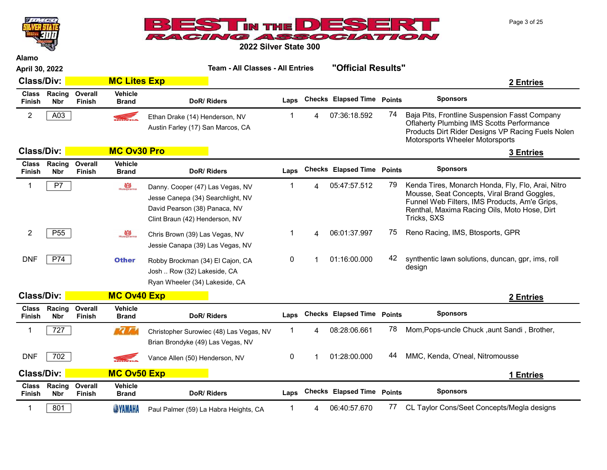Page 3 of 25



2022 Silver State 300

| April 30, 2022                |                      |                   |                                | Team - All Classes - All Entries                                                                                                         |             |   | "Official Results"                |            |                                                                                                                                                                                                                  |
|-------------------------------|----------------------|-------------------|--------------------------------|------------------------------------------------------------------------------------------------------------------------------------------|-------------|---|-----------------------------------|------------|------------------------------------------------------------------------------------------------------------------------------------------------------------------------------------------------------------------|
| <b>Class/Div:</b>             |                      |                   | <b>MC Lites Exp</b>            |                                                                                                                                          |             |   |                                   |            | 2 Entries                                                                                                                                                                                                        |
| <b>Class</b><br>Finish        | Racing<br><b>Nbr</b> | Overall<br>Finish | <b>Vehicle</b><br><b>Brand</b> | DoR/Riders                                                                                                                               | Laps        |   | <b>Checks Elapsed Time Points</b> |            | <b>Sponsors</b>                                                                                                                                                                                                  |
| $\overline{2}$                | A03                  |                   | <b>READER</b>                  | Ethan Drake (14) Henderson, NV<br>Austin Farley (17) San Marcos, CA                                                                      | -1          | 4 | 07:36:18.592                      | 74         | Baja Pits, Frontline Suspension Fasst Company<br><b>Oflaherty Plumbing IMS Scotts Performance</b><br>Products Dirt Rider Designs VP Racing Fuels Nolen<br>Motorsports Wheeler Motorsports                        |
| <b>Class/Div:</b>             |                      |                   | <b>MC Ov30 Pro</b>             |                                                                                                                                          |             |   |                                   |            | <b>3 Entries</b>                                                                                                                                                                                                 |
| <b>Class</b><br><b>Finish</b> | Racing<br><b>Nbr</b> | Overall<br>Finish | <b>Vehicle</b><br><b>Brand</b> | DoR/Riders                                                                                                                               | Laps        |   | <b>Checks Elapsed Time Points</b> |            | <b>Sponsors</b>                                                                                                                                                                                                  |
| 1                             | P7                   |                   | $\bigoplus_{\text{Husquarna}}$ | Danny. Cooper (47) Las Vegas, NV<br>Jesse Canepa (34) Searchlight, NV<br>David Pearson (38) Panaca, NV<br>Clint Braun (42) Henderson, NV | -1          | 4 | 05:47:57.512                      | 79.        | Kenda Tires, Monarch Honda, Fly, Flo, Arai, Nitro<br>Mousse, Seat Concepts, Viral Brand Goggles,<br>Funnel Web Filters, IMS Products, Am'e Grips,<br>Renthal, Maxima Racing Oils, Moto Hose, Dirt<br>Tricks, SXS |
| $\overline{2}$                | P <sub>55</sub>      |                   | Husqvarna                      | Chris Brown (39) Las Vegas, NV<br>Jessie Canapa (39) Las Vegas, NV                                                                       | 1           | 4 | 06:01:37.997                      | $\sqrt{5}$ | Reno Racing, IMS, Btosports, GPR                                                                                                                                                                                 |
| <b>DNF</b>                    | P74                  |                   | <b>Other</b>                   | Robby Brockman (34) El Cajon, CA<br>Josh  Row (32) Lakeside, CA<br>Ryan Wheeler (34) Lakeside, CA                                        | 0           |   | 01:16:00.000                      | 42         | synthentic lawn solutions, duncan, gpr, ims, roll<br>design                                                                                                                                                      |
| <b>Class/Div:</b>             |                      |                   | <b>MC Ov40 Exp</b>             |                                                                                                                                          |             |   |                                   |            | 2 Entries                                                                                                                                                                                                        |
| <b>Class</b><br>Finish        | Racing<br><b>Nbr</b> | Overall<br>Finish | <b>Vehicle</b><br><b>Brand</b> | DoR/Riders                                                                                                                               | Laps        |   | <b>Checks Elapsed Time Points</b> |            | <b>Sponsors</b>                                                                                                                                                                                                  |
| 1                             | 727                  |                   | ra ri                          | Christopher Surowiec (48) Las Vegas, NV<br>Brian Brondyke (49) Las Vegas, NV                                                             | $\mathbf 1$ | 4 | 08:28:06.661                      | 78         | Mom, Pops-uncle Chuck, aunt Sandi, Brother,                                                                                                                                                                      |
| <b>DNF</b>                    | 702                  |                   | <b>SEL</b>                     | Vance Allen (50) Henderson, NV                                                                                                           | 0           |   | 01:28:00.000                      | 44         | MMC, Kenda, O'neal, Nitromousse                                                                                                                                                                                  |
| <b>Class/Div:</b>             |                      |                   | <b>MC Ov50 Exp</b>             |                                                                                                                                          |             |   |                                   |            | 1 Entries                                                                                                                                                                                                        |
| <b>Class</b><br>Finish        | Racing<br><b>Nbr</b> | Overall<br>Finish | <b>Vehicle</b><br><b>Brand</b> | DoR/Riders                                                                                                                               | Laps        |   | Checks Elapsed Time Points        |            | <b>Sponsors</b>                                                                                                                                                                                                  |
| 1                             | 801                  |                   | <b>SYAMAHA</b>                 | Paul Palmer (59) La Habra Heights, CA                                                                                                    | 1           | 4 | 06:40:57.670                      | 77.        | CL Taylor Cons/Seet Concepts/Megla designs                                                                                                                                                                       |

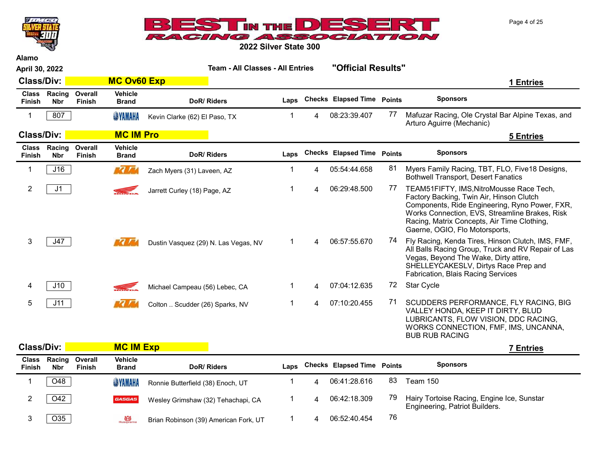Page 4 of 25



2022 Silver State 300

| April 30, 2022         |                            |                          |                                | <b>Team - All Classes - All Entries</b> |      |   | "Official Results"                |    |                                                                                                                                                                                                                                                                           |           |  |
|------------------------|----------------------------|--------------------------|--------------------------------|-----------------------------------------|------|---|-----------------------------------|----|---------------------------------------------------------------------------------------------------------------------------------------------------------------------------------------------------------------------------------------------------------------------------|-----------|--|
| <b>Class/Div:</b>      |                            |                          | <b>MC Ov60 Exp</b>             |                                         |      |   |                                   |    |                                                                                                                                                                                                                                                                           | 1 Entries |  |
| Finish                 | Class Racing<br><b>Nbr</b> | Overall<br><b>Finish</b> | <b>Vehicle</b><br><b>Brand</b> | DoR/Riders                              | Laps |   | Checks Elapsed Time Points        |    | <b>Sponsors</b>                                                                                                                                                                                                                                                           |           |  |
| 1                      | 807                        |                          | <b>SYAMAHA</b>                 | Kevin Clarke (62) El Paso, TX           |      | 4 | 08:23:39.407                      | 77 | Mafuzar Racing, Ole Crystal Bar Alpine Texas, and<br>Arturo Aguirre (Mechanic)                                                                                                                                                                                            |           |  |
| <b>Class/Div:</b>      |                            |                          | <b>MC IM Pro</b>               |                                         |      |   |                                   |    |                                                                                                                                                                                                                                                                           | 5 Entries |  |
| <b>Class</b><br>Finish | Racing<br><b>Nbr</b>       | Overall<br><b>Finish</b> | <b>Vehicle</b><br><b>Brand</b> | DoR/Riders                              | Laps |   | <b>Checks Elapsed Time Points</b> |    | <b>Sponsors</b>                                                                                                                                                                                                                                                           |           |  |
| 1                      | J16                        |                          | <b>KO AM</b>                   | Zach Myers (31) Laveen, AZ              | 1    | 4 | 05:54:44.658                      | 81 | Myers Family Racing, TBT, FLO, Five18 Designs,<br><b>Bothwell Transport, Desert Fanatics</b>                                                                                                                                                                              |           |  |
| 2                      | J1                         |                          | S.                             | Jarrett Curley (18) Page, AZ            | 1    |   | 06:29:48.500                      | 77 | TEAM51FIFTY, IMS, NitroMousse Race Tech,<br>Factory Backing, Twin Air, Hinson Clutch<br>Components, Ride Engineering, Ryno Power, FXR,<br>Works Connection, EVS, Streamline Brakes, Risk<br>Racing, Matrix Concepts, Air Time Clothing,<br>Gaerne, OGIO, Flo Motorsports, |           |  |
| 3                      | J47                        |                          | <b>MC AM</b>                   | Dustin Vasquez (29) N. Las Vegas, NV    | 1    | 4 | 06:57:55.670                      | 74 | Fly Racing, Kenda Tires, Hinson Clutch, IMS, FMF,<br>All Balls Racing Group, Truck and RV Repair of Las<br>Vegas, Beyond The Wake, Dirty attire,<br>SHELLEYCAKESLV, Dirtys Race Prep and<br><b>Fabrication, Blais Racing Services</b>                                     |           |  |
| 4                      | J10                        |                          | S.                             | Michael Campeau (56) Lebec, CA          | 1    | 4 | 07:04:12.635                      | 72 | <b>Star Cycle</b>                                                                                                                                                                                                                                                         |           |  |
| 5                      | J11                        |                          |                                | Colton  Scudder (26) Sparks, NV         | 1    | 4 | 07:10:20.455                      | 71 | SCUDDERS PERFORMANCE, FLY RACING, BIG<br>VALLEY HONDA, KEEP IT DIRTY, BLUD<br>LUBRICANTS, FLOW VISION, DDC RACING,<br>WORKS CONNECTION, FMF, IMS, UNCANNA,<br><b>BUB RUB RACING</b>                                                                                       |           |  |

| <b>Class/Div:</b>             |                                     | <b>MC IM Exp</b> | ' Entries                      |                                       |      |                            |    |                                                                              |
|-------------------------------|-------------------------------------|------------------|--------------------------------|---------------------------------------|------|----------------------------|----|------------------------------------------------------------------------------|
| <b>Class</b><br><b>Finish</b> | <b>Racing Overall</b><br><b>Nbr</b> | Finish           | <b>Vehicle</b><br><b>Brand</b> | DoR/Riders                            | Laps | Checks Elapsed Time Points |    | <b>Sponsors</b>                                                              |
|                               | O48                                 |                  | <b>SYAMAHA</b>                 | Ronnie Butterfield (38) Enoch, UT     |      | 06:41:28.616               | 83 | Team 150                                                                     |
|                               | O42                                 |                  | <b>GASGAS</b>                  | Wesley Grimshaw (32) Tehachapi, CA    |      | 06:42:18.309               | 79 | Hairy Tortoise Racing, Engine Ice, Sunstar<br>Engineering, Patriot Builders. |
|                               | O35                                 |                  | $\overrightarrow{H}$ Husqvarna | Brian Robinson (39) American Fork, UT |      | 06:52:40.454               | 76 |                                                                              |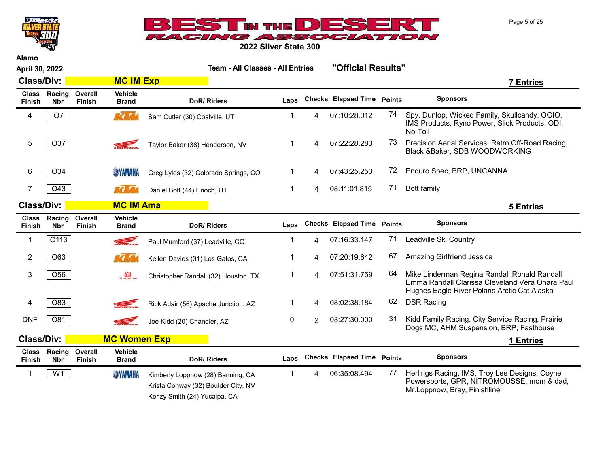



| <b>Alamo</b>                  |                      |                          |                                |                                                                                                                       |                                         |                |                                   |                    |                                                                                                                                                 |
|-------------------------------|----------------------|--------------------------|--------------------------------|-----------------------------------------------------------------------------------------------------------------------|-----------------------------------------|----------------|-----------------------------------|--------------------|-------------------------------------------------------------------------------------------------------------------------------------------------|
| April 30, 2022                |                      |                          |                                |                                                                                                                       | <b>Team - All Classes - All Entries</b> |                |                                   | "Official Results" |                                                                                                                                                 |
| <b>Class/Div:</b>             |                      |                          | <b>MC IM Exp</b>               |                                                                                                                       | 7 Entries                               |                |                                   |                    |                                                                                                                                                 |
| <b>Class</b><br><b>Finish</b> | Racing<br><b>Nbr</b> | Overall<br>Finish        | <b>Vehicle</b><br><b>Brand</b> | DoR/Riders                                                                                                            | Laps                                    |                | <b>Checks Elapsed Time Points</b> |                    | <b>Sponsors</b>                                                                                                                                 |
| 4                             | O7                   |                          | $\sqrt{7}$                     | Sam Cutler (30) Coalville, UT                                                                                         | 1                                       | 4              | 07:10:28.012                      | 74                 | Spy, Dunlop, Wicked Family, Skullcandy, OGIO,<br>IMS Products, Ryno Power, Slick Products, ODI,<br>No-Toil                                      |
| 5                             | O37                  |                          |                                | Taylor Baker (38) Henderson, NV                                                                                       | 1                                       | 4              | 07:22:28.283                      | 73                 | Precision Aerial Services, Retro Off-Road Racing,<br>Black &Baker, SDB WOODWORKING                                                              |
| 6                             | O34                  |                          | <b>SINAHA</b>                  | Greg Lyles (32) Colorado Springs, CO                                                                                  | 1                                       | 4              | 07:43:25.253                      | 72                 | Enduro Spec, BRP, UNCANNA                                                                                                                       |
| 7                             | O43                  |                          | ra ni                          | Daniel Bott (44) Enoch, UT                                                                                            | 1                                       | 4              | 08:11:01.815                      | 71                 | Bott family                                                                                                                                     |
| <b>Class/Div:</b>             |                      |                          | <b>MC IM Ama</b>               |                                                                                                                       |                                         |                |                                   |                    | <b>5 Entries</b>                                                                                                                                |
| <b>Class</b><br>Finish        | Racing<br><b>Nbr</b> | Overall<br>Finish        | Vehicle<br><b>Brand</b>        | DoR/Riders                                                                                                            | Laps                                    |                | <b>Checks Elapsed Time Points</b> |                    | <b>Sponsors</b>                                                                                                                                 |
| 1                             | O113                 |                          | <b>REFERENCE</b>               | Paul Mumford (37) Leadville, CO                                                                                       | -1                                      | 4              | 07:16:33.147                      | 71                 | Leadville Ski Country                                                                                                                           |
| 2                             | O63                  |                          | 77 <sub>77</sub>               | Kellen Davies (31) Los Gatos, CA                                                                                      |                                         | 4              | 07:20:19.642                      | 67                 | Amazing Girlfriend Jessica                                                                                                                      |
| 3                             | O56                  |                          | Husqvarna                      | Christopher Randall (32) Houston, TX                                                                                  | 1                                       | 4              | 07:51:31.759                      | 64                 | Mike Linderman Regina Randall Ronald Randall<br>Emma Randall Clarissa Cleveland Vera Ohara Paul<br>Hughes Eagle River Polaris Arctic Cat Alaska |
| 4                             | O83                  |                          |                                | Rick Adair (56) Apache Junction, AZ                                                                                   | -1                                      | 4              | 08:02:38.184                      | 62                 | <b>DSR Racing</b>                                                                                                                               |
| <b>DNF</b>                    | O81                  |                          |                                | Joe Kidd (20) Chandler, AZ                                                                                            | 0                                       | $\overline{2}$ | 03:27:30.000                      | 31                 | Kidd Family Racing, City Service Racing, Prairie<br>Dogs MC, AHM Suspension, BRP, Fasthouse                                                     |
| <b>Class/Div:</b>             |                      |                          | <b>MC Women Exp</b>            |                                                                                                                       |                                         |                |                                   |                    | 1 Entries                                                                                                                                       |
| <b>Class</b><br><b>Finish</b> | Racing<br><b>Nbr</b> | Overall<br><b>Finish</b> | <b>Vehicle</b><br><b>Brand</b> | DoR/Riders                                                                                                            | Laps                                    |                | <b>Checks Elapsed Time Points</b> |                    | <b>Sponsors</b>                                                                                                                                 |
| $\mathbf{1}$                  | W <sub>1</sub>       |                          | <b>SYAMAHA</b>                 | Kimberly Loppnow (28) Banning, CA<br>Krista Conway (32) Boulder City, NV<br>$\sim$ $\sim$ $\sim$ $\sim$ $\sim$ $\sim$ | $\mathbf 1$                             | 4              | 06:35:08.494                      | 77                 | Herlings Racing, IMS, Troy Lee Designs, Coyne<br>Powersports, GPR, NITROMOUSSE, mom & dad,<br>Mr.Loppnow, Bray, Finishline I                    |

Kenzy Smith (24) Yucaipa, CA

Page 5 of 25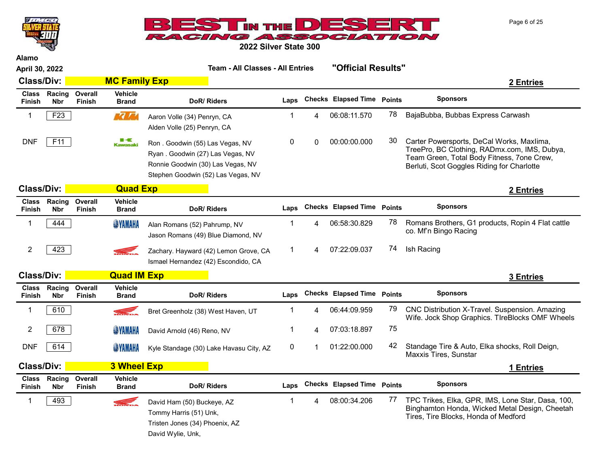



| Alamo                         |                      |                          |                                |                                                                                                                                                |                                         |   |                                   |                    |                                                                                                                                                                                       |
|-------------------------------|----------------------|--------------------------|--------------------------------|------------------------------------------------------------------------------------------------------------------------------------------------|-----------------------------------------|---|-----------------------------------|--------------------|---------------------------------------------------------------------------------------------------------------------------------------------------------------------------------------|
|                               | April 30, 2022       |                          |                                |                                                                                                                                                | <b>Team - All Classes - All Entries</b> |   |                                   | "Official Results" |                                                                                                                                                                                       |
| <b>Class/Div:</b>             |                      |                          | <b>MC Family Exp</b>           |                                                                                                                                                |                                         |   |                                   |                    | 2 Entries                                                                                                                                                                             |
| <b>Class</b><br><b>Finish</b> | Racing<br><b>Nbr</b> | Overall<br><b>Finish</b> | <b>Vehicle</b><br><b>Brand</b> | DoR/Riders                                                                                                                                     | Laps                                    |   | <b>Checks Elapsed Time Points</b> |                    | <b>Sponsors</b>                                                                                                                                                                       |
| 1                             | F <sub>23</sub>      |                          | <b>MC / Md</b>                 | Aaron Volle (34) Penryn, CA<br>Alden Volle (25) Penryn, CA                                                                                     | 1                                       | 4 | 06:08:11.570                      | 78                 | BajaBubba, Bubbas Express Carwash                                                                                                                                                     |
| <b>DNF</b>                    | F11                  |                          | ■⋖<br><b>Kawasaki</b>          | Ron. Goodwin (55) Las Vegas, NV<br>Ryan. Goodwin (27) Las Vegas, NV<br>Ronnie Goodwin (30) Las Vegas, NV<br>Stephen Goodwin (52) Las Vegas, NV | 0                                       | 0 | 00:00:00.000                      | 30                 | Carter Powersports, DeCal Works, Maxlima,<br>TreePro, BC Clothing, RADmx.com, IMS, Dubya,<br>Team Green, Total Body Fitness, 7one Crew,<br>Berluti, Scot Goggles Riding for Charlotte |
| <b>Class/Div:</b>             |                      |                          | <b>Quad Exp</b>                |                                                                                                                                                |                                         |   |                                   |                    | 2 Entries                                                                                                                                                                             |
| <b>Class</b><br><b>Finish</b> | Racing<br><b>Nbr</b> | Overall<br><b>Finish</b> | <b>Vehicle</b><br><b>Brand</b> | DoR/Riders                                                                                                                                     | Laps                                    |   | <b>Checks Elapsed Time Points</b> |                    | <b>Sponsors</b>                                                                                                                                                                       |
| 1                             | 444                  |                          | <b>SYAMAHA</b>                 | Alan Romans (52) Pahrump, NV<br>Jason Romans (49) Blue Diamond, NV                                                                             | 1                                       | Δ | 06:58:30.829                      | 78                 | Romans Brothers, G1 products, Ropin 4 Flat cattle<br>co. Mf'n Bingo Racing                                                                                                            |
| $\overline{2}$                | 423                  |                          | <b>SEL</b>                     | Zachary. Hayward (42) Lemon Grove, CA<br>Ismael Hernandez (42) Escondido, CA                                                                   | $\mathbf{1}$                            | 4 | 07:22:09.037                      | 74                 | Ish Racing                                                                                                                                                                            |
| <b>Class/Div:</b>             |                      |                          | <b>Quad IM Exp</b>             |                                                                                                                                                |                                         |   |                                   |                    | 3 Entries                                                                                                                                                                             |
| <b>Class</b><br><b>Finish</b> | Racing<br><b>Nbr</b> | Overall<br><b>Finish</b> | <b>Vehicle</b><br><b>Brand</b> | DoR/Riders                                                                                                                                     | Laps                                    |   | <b>Checks Elapsed Time Points</b> |                    | <b>Sponsors</b>                                                                                                                                                                       |
| $\mathbf{1}$                  | 610                  |                          |                                | Bret Greenholz (38) West Haven, UT                                                                                                             | 1                                       | 4 | 06:44:09.959                      | 79                 | CNC Distribution X-Travel. Suspension. Amazing<br>Wife. Jock Shop Graphics. TIreBlocks OMF Wheels                                                                                     |
| 2                             | 678                  |                          | <b>SYAMAHA</b>                 | David Arnold (46) Reno, NV                                                                                                                     | 1                                       | 4 | 07:03:18.897                      | 75                 |                                                                                                                                                                                       |
| <b>DNF</b>                    | 614                  |                          | <b>SYAMAHA</b>                 | Kyle Standage (30) Lake Havasu City, AZ                                                                                                        | 0                                       | 1 | 01:22:00.000                      | 42                 | Standage Tire & Auto, Elka shocks, Roll Deign,<br>Maxxis Tires, Sunstar                                                                                                               |
| <b>Class/Div:</b>             |                      |                          | <b>3 Wheel Exp</b>             |                                                                                                                                                |                                         |   |                                   |                    | 1 Entries                                                                                                                                                                             |
| <b>Class</b><br>Finish        | Racing<br><b>Nbr</b> | Overall<br><b>Finish</b> | <b>Vehicle</b><br><b>Brand</b> | DoR/Riders                                                                                                                                     | Laps                                    |   | <b>Checks Elapsed Time Points</b> |                    | <b>Sponsors</b>                                                                                                                                                                       |
| $\mathbf{1}$                  | 493                  |                          | <b>SEL</b>                     | David Ham (50) Buckeye, AZ<br>Tommy Harris (51) Unk,<br>Tristen Jones (34) Phoenix, AZ<br>David Wylie, Unk,                                    | $\mathbf 1$                             | 4 | 08:00:34.206                      | 77                 | TPC Trikes, Elka, GPR, IMS, Lone Star, Dasa, 100,<br>Binghamton Honda, Wicked Metal Design, Cheetah<br>Tires, Tire Blocks, Honda of Medford                                           |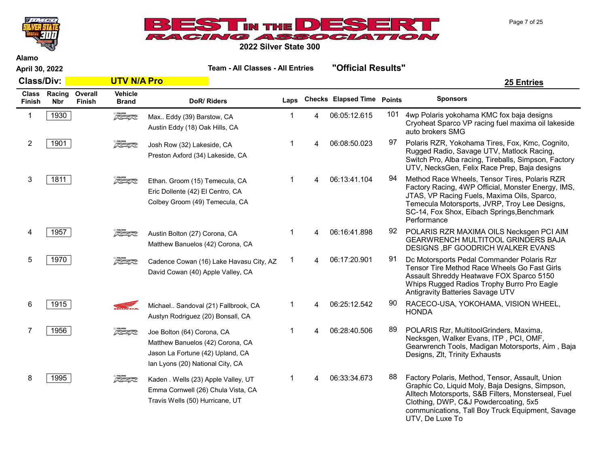



Alamo

April 30, 2022 Team - All Classes - All Entries "Official Results"

UTV, De Luxe To

| <b>Class/Div:</b> |                            |                          | <b>UTV N/A Pro</b>               |                                                                                                                                        |      |                |                                   |     | <b>25 Entries</b>                                                                                                                                                                                                                                                          |
|-------------------|----------------------------|--------------------------|----------------------------------|----------------------------------------------------------------------------------------------------------------------------------------|------|----------------|-----------------------------------|-----|----------------------------------------------------------------------------------------------------------------------------------------------------------------------------------------------------------------------------------------------------------------------------|
| Finish            | Class Racing<br><b>Nbr</b> | Overall<br><b>Finish</b> | Vehicle<br><b>Brand</b>          | DoR/Riders                                                                                                                             | Laps |                | <b>Checks Elapsed Time Points</b> |     | <b>Sponsors</b>                                                                                                                                                                                                                                                            |
| 1                 | 1930                       |                          | $5 - 7$                          | Max Eddy (39) Barstow, CA<br>Austin Eddy (18) Oak Hills, CA                                                                            |      | 4              | 06:05:12.615                      | 101 | 4wp Polaris yokohama KMC fox baja designs<br>Cryoheat Sparco VP racing fuel maxima oil lakeside<br>auto brokers SMG                                                                                                                                                        |
| 2                 | 1901                       |                          | <b>E</b> POLARIS<br>A CALANTARIO | Josh Row (32) Lakeside, CA<br>Preston Axford (34) Lakeside, CA                                                                         | 1    | 4              | 06:08:50.023                      | 97  | Polaris RZR, Yokohama Tires, Fox, Kmc, Cognito,<br>Rugged Radio, Savage UTV, Matlock Racing,<br>Switch Pro, Alba racing, Tireballs, Simpson, Factory<br>UTV, NecksGen, Felix Race Prep, Baja designs                                                                       |
| 3                 | 1811                       |                          | $5 - 7$                          | Ethan. Groom (15) Temecula, CA<br>Eric Dollente (42) El Centro, CA<br>Colbey Groom (49) Temecula, CA                                   | 1    | 4              | 06:13:41.104                      | 94  | Method Race Wheels, Tensor Tires, Polaris RZR<br>Factory Racing, 4WP Official, Monster Energy, IMS,<br>JTAS, VP Racing Fuels, Maxima Oils, Sparco,<br>Temecula Motorsports, JVRP, Troy Lee Designs,<br>SC-14, Fox Shox, Eibach Springs, Benchmark<br>Performance           |
|                   | 1957                       |                          | $5 - 4 - 2$                      | Austin Bolton (27) Corona, CA<br>Matthew Banuelos (42) Corona, CA                                                                      | 1    | 4              | 06:16:41.898                      | 92  | POLARIS RZR MAXIMA OILS Necksgen PCI AIM<br><b>GEARWRENCH MULTITOOL GRINDERS BAJA</b><br>DESIGNS, BF GOODRICH WALKER EVANS                                                                                                                                                 |
| 5                 | 1970                       |                          | 5000005                          | Cadence Cowan (16) Lake Havasu City, AZ<br>David Cowan (40) Apple Valley, CA                                                           | 1    | $\overline{A}$ | 06:17:20.901                      | 91  | Dc Motorsports Pedal Commander Polaris Rzr<br>Tensor Tire Method Race Wheels Go Fast Girls<br>Assault Shreddy Heatwave FOX Sparco 5150<br>Whips Rugged Radios Trophy Burro Pro Eagle<br>Antigravity Batteries Savage UTV                                                   |
| 6                 | 1915                       |                          | <b>KRI</b>                       | Michael Sandoval (21) Fallbrook, CA<br>Austyn Rodriguez (20) Bonsall, CA                                                               |      | 4              | 06:25:12.542                      | 90  | RACECO-USA, YOKOHAMA, VISION WHEEL,<br><b>HONDA</b>                                                                                                                                                                                                                        |
|                   | 1956                       |                          | z                                | Joe Bolton (64) Corona, CA<br>Matthew Banuelos (42) Corona, CA<br>Jason La Fortune (42) Upland, CA<br>Ian Lyons (20) National City, CA | 1    | 4              | 06:28:40.506                      | 89  | POLARIS Rzr, MultitoolGrinders, Maxima,<br>Necksgen, Walker Evans, ITP, PCI, OMF,<br>Gearwrench Tools, Madigan Motorsports, Aim, Baja<br>Designs, Zlt, Trinity Exhausts                                                                                                    |
| 8                 | 1995                       |                          |                                  | Kaden . Wells (23) Apple Valley, UT<br>Emma Cornwell (26) Chula Vista, CA<br>Travis Wells (50) Hurricane, UT                           | 1    | 4              | 06:33:34.673                      | 88  | Factory Polaris, Method, Tensor, Assault, Union<br>Graphic Co, Liquid Moly, Baja Designs, Simpson,<br>Alltech Motorsports, S&B Filters, Monsterseal, Fuel<br>Clothing, DWP, C&J Powdercoating, 5x5<br>communications, Tall Boy Truck Equipment, Savage<br>$IITU$ Deluve Te |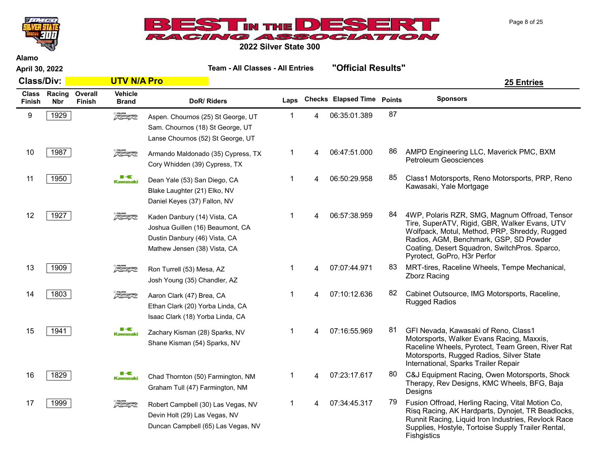



| <b>Alamo</b><br>April 30, 2022 |                      |                          |                                | <b>Team - All Classes - All Entries</b>                                                                                           |                |             | "Official Results"         |    |                                                                                                                                                                                                                                                                           |
|--------------------------------|----------------------|--------------------------|--------------------------------|-----------------------------------------------------------------------------------------------------------------------------------|----------------|-------------|----------------------------|----|---------------------------------------------------------------------------------------------------------------------------------------------------------------------------------------------------------------------------------------------------------------------------|
| <b>Class/Div:</b>              |                      |                          | <b>UTV N/A Pro</b>             |                                                                                                                                   |                |             |                            |    | <b>25 Entries</b>                                                                                                                                                                                                                                                         |
| <b>Class</b><br><b>Finish</b>  | Racing<br><b>Nbr</b> | Overall<br><b>Finish</b> | <b>Vehicle</b><br><b>Brand</b> | DoR/Riders                                                                                                                        | Laps           |             | Checks Elapsed Time Points |    | <b>Sponsors</b>                                                                                                                                                                                                                                                           |
| 9                              | 1929                 |                          | $\sqrt{2}$                     | Aspen. Chournos (25) St George, UT<br>Sam. Chournos (18) St George, UT<br>Lanse Chournos (52) St George, UT                       | -1             | 4           | 06:35:01.389               | 87 |                                                                                                                                                                                                                                                                           |
| 10                             | 1987                 |                          | $\sqrt{2}$                     | Armando Maldonado (35) Cypress, TX<br>Cory Whidden (39) Cypress, TX                                                               | $\mathbf{1}$   | 4           | 06:47:51.000               | 86 | AMPD Engineering LLC, Maverick PMC, BXM<br><b>Petroleum Geosciences</b>                                                                                                                                                                                                   |
| 11                             | 1950                 |                          | ■⋖<br><b>Kawasaki</b>          | Dean Yale (53) San Diego, CA<br>Blake Laughter (21) Elko, NV<br>Daniel Keyes (37) Fallon, NV                                      | $\mathbf 1$    | $\mathbf 4$ | 06:50:29.958               | 85 | Class1 Motorsports, Reno Motorsports, PRP, Reno<br>Kawasaki, Yale Mortgage                                                                                                                                                                                                |
| 12                             | 1927                 |                          | <b>SPOLARIS</b>                | Kaden Danbury (14) Vista, CA<br>Joshua Guillen (16) Beaumont, CA<br>Dustin Danbury (46) Vista, CA<br>Mathew Jensen (38) Vista, CA | $\mathbf 1$    |             | 06:57:38.959               | 84 | 4WP, Polaris RZR, SMG, Magnum Offroad, Tensor<br>Tire, SuperATV, Rigid, GBR, Walker Evans, UTV<br>Wolfpack, Motul, Method, PRP, Shreddy, Rugged<br>Radios, AGM, Benchmark, GSP, SD Powder<br>Coating, Desert Squadron, SwitchPros. Sparco,<br>Pyrotect, GoPro, H3r Perfor |
| 13                             | 1909                 |                          | $5 - 4 - 2$                    | Ron Turrell (53) Mesa, AZ<br>Josh Young (35) Chandler, AZ                                                                         | $\mathbf 1$    | 4           | 07:07:44.971               | 83 | MRT-tires, Raceline Wheels, Tempe Mechanical,<br><b>Zborz Racing</b>                                                                                                                                                                                                      |
| 14                             | 1803                 |                          | $\sqrt{2}$                     | Aaron Clark (47) Brea, CA<br>Ethan Clark (20) Yorba Linda, CA<br>Isaac Clark (18) Yorba Linda, CA                                 | $\mathbf{1}$   | 4           | 07:10:12.636               | 82 | Cabinet Outsource, IMG Motorsports, Raceline,<br><b>Rugged Radios</b>                                                                                                                                                                                                     |
| 15                             | 1941                 |                          | ■−€<br><b>Kawasaki</b>         | Zachary Kisman (28) Sparks, NV<br>Shane Kisman (54) Sparks, NV                                                                    | $\overline{1}$ | 4           | 07:16:55.969               | 81 | GFI Nevada, Kawasaki of Reno, Class1<br>Motorsports, Walker Evans Racing, Maxxis,<br>Raceline Wheels, Pyrotect, Team Green, River Rat<br>Motorsports, Rugged Radios, Silver State<br>International, Sparks Trailer Repair                                                 |
| 16                             | 1829                 |                          | ■−€<br><b>Kawasaki</b>         | Chad Thornton (50) Farmington, NM<br>Graham Tull (47) Farmington, NM                                                              | $\mathbf 1$    | 4           | 07:23:17.617               | 80 | C&J Equipment Racing, Owen Motorsports, Shock<br>Therapy, Rev Designs, KMC Wheels, BFG, Baja<br>Designs                                                                                                                                                                   |
| 17                             | 1999                 |                          | $z$ politics                   | Robert Campbell (30) Las Vegas, NV<br>Devin Holt (29) Las Vegas, NV<br>Duncan Campbell (65) Las Vegas, NV                         | $\mathbf 1$    | Δ           | 07:34:45.317               | 79 | Fusion Offroad, Herling Racing, Vital Motion Co,<br>Risq Racing, AK Hardparts, Dynojet, TR Beadlocks,<br>Runnit Racing, Liquid Iron Industries, Revlock Race<br>Supplies, Hostyle, Tortoise Supply Trailer Rental,<br>Fishgistics                                         |

Page 8 of 25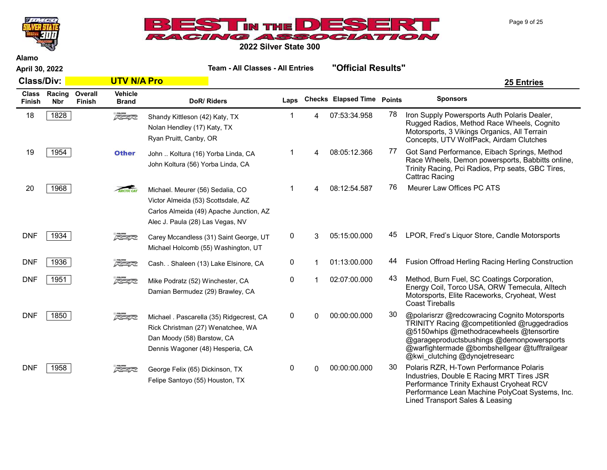



2022 Silver State 300

Alamo

April 30, 2022 Team - All Classes - All Entries "Official Results"

Class/Div: UTV N/A Pro 25 Entries DoR/ Riders **Laps** Checks Elapsed Time Points Sponsors

| <b>Class</b><br><b>Finish</b> | Racing<br><b>Nbr</b> | Overall<br><b>Finish</b> | <b>Vehicle</b><br><b>Brand</b> | DoR/Riders                                                                                                                                            | Laps |   | <b>Checks Elapsed Time</b> | <b>Points</b> | <b>Sponsors</b>                                                                                                                                                                                                                                                           |
|-------------------------------|----------------------|--------------------------|--------------------------------|-------------------------------------------------------------------------------------------------------------------------------------------------------|------|---|----------------------------|---------------|---------------------------------------------------------------------------------------------------------------------------------------------------------------------------------------------------------------------------------------------------------------------------|
| 18                            | 1828                 |                          | $\sqrt{2}$                     | Shandy Kittleson (42) Katy, TX<br>Nolan Hendley (17) Katy, TX<br>Ryan Pruitt, Canby, OR                                                               |      | Δ | 07:53:34.958               | 78            | Iron Supply Powersports Auth Polaris Dealer,<br>Rugged Radios, Method Race Wheels, Cognito<br>Motorsports, 3 Vikings Organics, All Terrain<br>Concepts, UTV WolfPack, Airdam Clutches                                                                                     |
| 19                            | 1954                 |                          | <b>Other</b>                   | John  Koltura (16) Yorba Linda, CA<br>John Koltura (56) Yorba Linda, CA                                                                               |      |   | 08:05:12.366               | 77            | Got Sand Performance, Eibach Springs, Method<br>Race Wheels, Demon powersports, Babbitts online,<br>Trinity Racing, Pci Radios, Prp seats, GBC Tires,<br>Cattrac Racing                                                                                                   |
| 20                            | 1968                 |                          | ARCTIC CAT                     | Michael. Meurer (56) Sedalia, CO<br>Victor Almeida (53) Scottsdale, AZ<br>Carlos Almeida (49) Apache Junction, AZ<br>Alec J. Paula (28) Las Vegas, NV |      |   | 08:12:54.587               | 76            | Meurer Law Offices PC ATS                                                                                                                                                                                                                                                 |
| <b>DNF</b>                    | 1934                 |                          | 医学家                            | Carey Mccandless (31) Saint George, UT<br>Michael Holcomb (55) Washington, UT                                                                         | 0    | 3 | 05:15:00.000               | 45            | LPOR, Fred's Liquor Store, Candle Motorsports                                                                                                                                                                                                                             |
| <b>DNF</b>                    | 1936                 |                          | $\frac{1}{\sqrt{2}}$           | Cash. . Shaleen (13) Lake Elsinore, CA                                                                                                                | 0    |   | 01:13:00.000               | 44            | Fusion Offroad Herling Racing Herling Construction                                                                                                                                                                                                                        |
| <b>DNF</b>                    | 1951                 |                          | 医学家                            | Mike Podratz (52) Winchester, CA<br>Damian Bermudez (29) Brawley, CA                                                                                  | 0    |   | 02:07:00.000               | 43            | Method, Burn Fuel, SC Coatings Corporation,<br>Energy Coil, Torco USA, ORW Temecula, Alltech<br>Motorsports, Elite Raceworks, Cryoheat, West<br><b>Coast Tireballs</b>                                                                                                    |
| <b>DNF</b>                    | 1850                 |                          | $\sqrt{2}$                     | Michael . Pascarella (35) Ridgecrest, CA<br>Rick Christman (27) Wenatchee, WA<br>Dan Moody (58) Barstow, CA<br>Dennis Wagoner (48) Hesperia, CA       | 0    | U | 00:00:00.000               | 30            | @polarisrzr @redcowracing Cognito Motorsports<br>TRINITY Racing @competitionled @ruggedradios<br>@5150whips @methodracewheels @tensortire<br>@garageproductsbushings @demonpowersports<br>@warfightermade @bombshellgear @tufftrailgear<br>@kwi_clutching @dynojetresearc |
| <b>DNF</b>                    | 1958                 |                          | 反革命                            | George Felix (65) Dickinson, TX<br>Felipe Santoyo (55) Houston, TX                                                                                    | 0    | 0 | 00:00:00.000               | 30            | Polaris RZR, H-Town Performance Polaris<br>Industries, Double E Racing MRT Tires JSR<br>Performance Trinity Exhaust Cryoheat RCV<br>Performance Lean Machine PolyCoat Systems, Inc.<br>Lined Transport Sales & Leasing                                                    |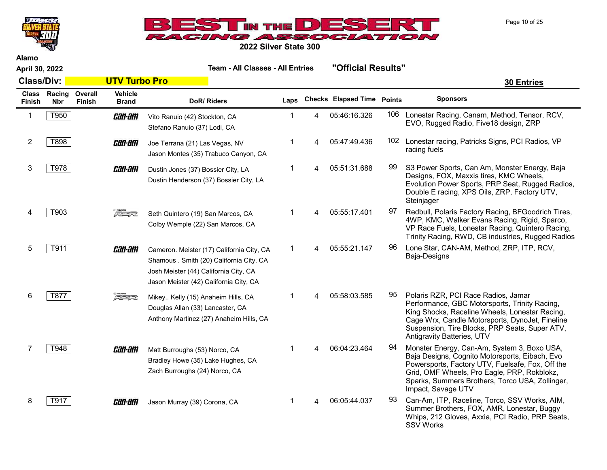



Alamo

April 30, 2022 Team - All Classes - All Entries "Official Results"

SSV Works

Class/Div: UTV Turbo Pro 30 Entries Class Racing Finish Nbr **Overall** Finish **Vehicle**<br>Brand DoR/ Riders **Laps** Checks Elapsed Time Points Sponsors 1 T950 **Can-am** Vito Ranuio (42) Stockton, CA 1 4 05:46:16.326 <sup>106</sup> Lonestar Racing, Canam, Method, Tensor, RCV, EVO, Rugged Radio, Five18 design, ZRP Vito Ranuio (42) Stockton, CA Stefano Ranuio (37) Lodi, CA 2 T898 **Can-am** Joe Terrana (21) Las Vegas. NV 1 4 05:47:49.436 102 Lonestar racing, Patricks Signs, PCI Radios, VP racing fuels Joe Terrana (21) Las Vegas, NV Jason Montes (35) Trabuco Canyon, CA 3 T978 **CHI-HII** Dustin Jones (37) Bossier City. LA 14 05:51:31.688 99 S3 Power Sports, Can Am, Monster Energy, Baja Designs, FOX, Maxxis tires, KMC Wheels, Evolution Power Sports, PRP Seat, Rugged Radios, Double E racing, XPS Oils, ZRP, Factory UTV, Steinjager Dustin Jones (37) Bossier City, LA Dustin Henderson (37) Bossier City, LA 4 T903 Seth Quintero (19) San Marcos. CA 14 05:55:17.401 97 Redbull, Polaris Factory Racing, BFGoodrich Tires, 4WP, KMC, Walker Evans Racing, Rigid, Sparco, VP Race Fuels, Lonestar Racing, Quintero Racing, Trinity Racing, RWD, CB industries, Rugged Radios Seth Quintero (19) San Marcos, CA Colby Wemple (22) San Marcos, CA 5 | T911 | **CHI-BIT** Cameron, Meister (17) California City, CA 1 4 05:55:21.147 96 Lone Star, CAN-AM, Method, ZRP, ITP, RCV, Baja-Designs Cameron. Meister (17) California City, CA Shamous . Smith (20) California City, CA Josh Meister (44) California City, CA Jason Meister (42) California City, CA 6 | T877 |  $\frac{1}{\sqrt{2}}$  Mikev, Kelly (15) Anaheim Hills CA  $\sqrt{2}$  1  $\sqrt{4}$  05:58:03.585  $\sqrt{95}$  Polaris RZR, PCI Race Radios, Jamar Performance, GBC Motorsports, Trinity Racing, King Shocks, Raceline Wheels, Lonestar Racing, Cage Wrx, Candle Motorsports, DynoJet, Fineline Suspension, Tire Blocks, PRP Seats, Super ATV, Antigravity Batteries, UTV Mikey.. Kelly (15) Anaheim Hills, CA Douglas Allan (33) Lancaster, CA Anthony Martinez (27) Anaheim Hills, CA 7 T948 Monster Energy, Can-Am, System 3, Boxo USA, Baja Designs, Cognito Motorsports, Eibach, Evo Powersports, Factory UTV, Fuelsafe, Fox, Off the Grid, OMF Wheels, Pro Eagle, PRP, Rokblokz, Sparks, Summers Brothers, Torco USA, Zollinger, Impact, Savage UTV Matt Burroughs (53) Norco, CA Bradley Howe (35) Lake Hughes, CA Zach Burroughs (24) Norco, CA 8 T917 **Can-Am** Jason Murray (39) Corona. CA 1 4 06:05:44.037 <sup>93</sup> Can-Am, ITP, Raceline, Torco, SSV Works, AIM, Summer Brothers, FOX, AMR, Lonestar, Buggy Whips, 212 Gloves, Axxia, PCI Radio, PRP Seats, Jason Murray (39) Corona, CA

Page 10 of 25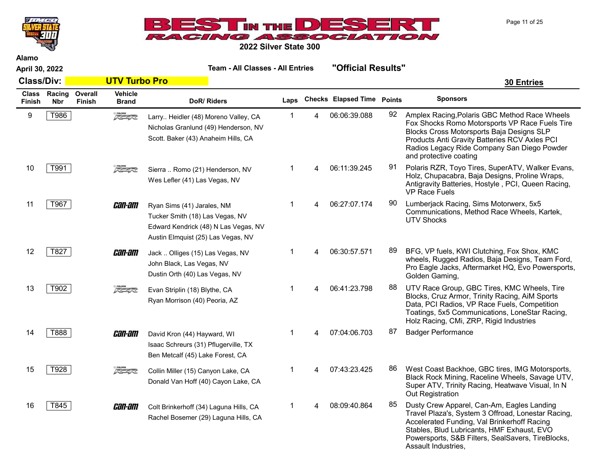Page 11 of 25



2022 Silver State 300

| April 30, 2022 |  |  |  |
|----------------|--|--|--|
|----------------|--|--|--|

|                               |                      |                   |                                | <b>2022 Silver State 300</b>                                                                                                                |      |                            |               |                                                                                                                                                                                                                                                                        |  |
|-------------------------------|----------------------|-------------------|--------------------------------|---------------------------------------------------------------------------------------------------------------------------------------------|------|----------------------------|---------------|------------------------------------------------------------------------------------------------------------------------------------------------------------------------------------------------------------------------------------------------------------------------|--|
| Alamo<br>April 30, 2022       |                      |                   |                                | <b>Team - All Classes - All Entries</b>                                                                                                     |      | "Official Results"         |               |                                                                                                                                                                                                                                                                        |  |
|                               | <b>Class/Div:</b>    |                   | <b>UTV Turbo Pro</b>           |                                                                                                                                             |      |                            |               | <b>30 Entries</b>                                                                                                                                                                                                                                                      |  |
| <b>Class</b><br><b>Finish</b> | Racing<br><b>Nbr</b> | Overall<br>Finish | <b>Vehicle</b><br><b>Brand</b> | DoR/Riders                                                                                                                                  | Laps | <b>Checks Elapsed Time</b> | <b>Points</b> | <b>Sponsors</b>                                                                                                                                                                                                                                                        |  |
| 9                             | T986                 |                   | $\sqrt{2}$                     | Larry Heidler (48) Moreno Valley, CA<br>Nicholas Granlund (49) Henderson, NV<br>Scott. Baker (43) Anaheim Hills, CA                         |      | 06:06:39.088               | 92            | Amplex Racing, Polaris GBC Method Race Wheels<br>Fox Shocks Romo Motorsports VP Race Fuels Tire<br>Blocks Cross Motorsports Baja Designs SLP<br>Products Anti Gravity Batteries RCV Axles PCI<br>Radios Legacy Ride Company San Diego Powder<br>and protective coating |  |
| 10                            | T991                 |                   | $7 - 47$                       | Sierra  Romo (21) Henderson, NV<br>Wes Lefler (41) Las Vegas, NV                                                                            |      | 06:11:39.245               | 91            | Polaris RZR, Toyo Tires, SuperATV, Walker Evans,<br>Holz, Chupacabra, Baja Designs, Proline Wraps,<br>Antigravity Batteries, Hostyle, PCI, Queen Racing,<br><b>VP Race Fuels</b>                                                                                       |  |
| 11                            | T967                 |                   | <i>can-am</i>                  | Ryan Sims (41) Jarales, NM<br>Tucker Smith (18) Las Vegas, NV<br>Edward Kendrick (48) N Las Vegas, NV<br>Austin Elmquist (25) Las Vegas, NV |      | 06:27:07.174               | 90            | Lumberjack Racing, Sims Motorwerx, 5x5<br>Communications, Method Race Wheels, Kartek,<br><b>UTV Shocks</b>                                                                                                                                                             |  |
| 12                            | T827                 |                   | <i>can-am</i>                  | Jack  Olliges (15) Las Vegas, NV<br>John Black, Las Vegas, NV<br>Dustin Orth (40) Las Vegas, NV                                             |      | 06:30:57.571               | 89            | BFG, VP fuels, KWI Clutching, Fox Shox, KMC<br>wheels, Rugged Radios, Baja Designs, Team Ford,<br>Pro Eagle Jacks, Aftermarket HQ, Evo Powersports,<br>Golden Gaming,                                                                                                  |  |
| 13                            | T902                 |                   | z                              | Evan Striplin (18) Blythe, CA<br>Ryan Morrison (40) Peoria, AZ                                                                              |      | 06:41:23.798               | 88            | UTV Race Group, GBC Tires, KMC Wheels, Tire<br>Blocks, Cruz Armor, Trinity Racing, AiM Sports<br>Data, PCI Radios, VP Race Fuels, Competition<br>Toatings, 5x5 Communications, LoneStar Racing,<br>Holz Racing, CMi, ZRP, Rigid Industries                             |  |

Isaac Schreurs (31) Pflugerville, TX Ben Metcalf (45) Lake Forest, CA

Collin Miller (15) Canyon Lake, CA Donald Van Hoff (40) Cayon Lake, CA

Colt Brinkerhoff (34) Laguna Hills, CA Rachel Bosemer (29) Laguna Hills, CA

- 14 T888 **Can-am** David Kron (44) Hayward, WI 1 4 07:04:06.703 87 Badger Performance
- 15 T928 West Coast Backhoe, GBC tires, IMG Motorsports, Black Rock Mining, Raceline Wheels, Savage UTV, Super ATV, Trinity Racing, Heatwave Visual, In N Out Registration
- 16 T845 **Can-am** Colt Brinkerhoff (34) Laguna Hills. CA 1 4 08:09:40.864 <sup>85</sup> Dusty Crew Apparel, Can-Am, Eagles Landing Travel Plaza's, System 3 Offroad, Lonestar Racing, Accelerated Funding, Val Brinkerhoff Racing Stables, Blud Lubricants, HMF Exhaust, EVO Powersports, S&B Filters, SealSavers, TireBlocks, Assault Industries,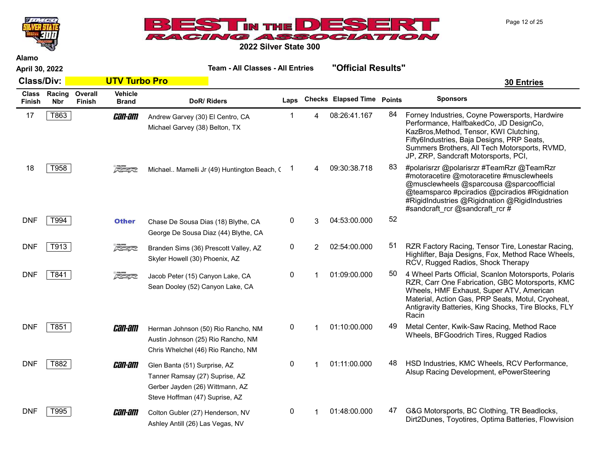Page 12 of 25



2022 Silver State 300

| April 30, 2022                |                      |                   |                                |                                                                                                                                     | <b>Team - All Classes - All Entries</b> |   |                                   | "Official Results" |                                                                                                                                                                                                                                                                            |
|-------------------------------|----------------------|-------------------|--------------------------------|-------------------------------------------------------------------------------------------------------------------------------------|-----------------------------------------|---|-----------------------------------|--------------------|----------------------------------------------------------------------------------------------------------------------------------------------------------------------------------------------------------------------------------------------------------------------------|
| <b>Class/Div:</b>             |                      |                   | <b>UTV Turbo Pro</b>           |                                                                                                                                     |                                         |   |                                   |                    | <b>30 Entries</b>                                                                                                                                                                                                                                                          |
| <b>Class</b><br><b>Finish</b> | Racing<br><b>Nbr</b> | Overall<br>Finish | <b>Vehicle</b><br><b>Brand</b> | DoR/Riders                                                                                                                          | Laps                                    |   | <b>Checks Elapsed Time Points</b> |                    | <b>Sponsors</b>                                                                                                                                                                                                                                                            |
| 17                            | T863                 |                   | <i>can-am</i>                  | Andrew Garvey (30) El Centro, CA<br>Michael Garvey (38) Belton, TX                                                                  |                                         | 4 | 08:26:41.167                      | 84                 | Forney Industries, Coyne Powersports, Hardwire<br>Performance, HalfbakedCo, JD DesignCo,<br>KazBros, Method, Tensor, KWI Clutching,<br>Fifty6Industries, Baja Designs, PRP Seats,<br>Summers Brothers, All Tech Motorsports, RVMD,<br>JP, ZRP, Sandcraft Motorsports, PCI, |
| 18                            | T958                 |                   | $\sqrt{27}$                    | Michael Mamelli Jr (49) Huntington Beach, (                                                                                         |                                         | 4 | 09:30:38.718                      | 83                 | #polarisrzr @polarisrzr #TeamRzr @TeamRzr<br>#motoracetire @motoracetire #musclewheels<br>@musclewheels @sparcousa @sparcoofficial<br>@teamsparco #pciradios @pciradios #Rigidnation<br>#RigidIndustries @Rigidnation @RigidIndustries<br>#sandcraft rcr @sandcraft rcr #  |
| <b>DNF</b>                    | T994                 |                   | <b>Other</b>                   | Chase De Sousa Dias (18) Blythe, CA<br>George De Sousa Diaz (44) Blythe, CA                                                         | 0                                       | 3 | 04:53:00.000                      | 52                 |                                                                                                                                                                                                                                                                            |
| <b>DNF</b>                    | T913                 |                   | $\sqrt{2}$                     | Branden Sims (36) Prescott Valley, AZ<br>Skyler Howell (30) Phoenix, AZ                                                             | 0                                       | 2 | 02:54:00.000                      | 51                 | RZR Factory Racing, Tensor Tire, Lonestar Racing,<br>Highlifter, Baja Designs, Fox, Method Race Wheels,<br>RCV, Rugged Radios, Shock Therapy                                                                                                                               |
| <b>DNF</b>                    | T841                 |                   | $5 - 7$                        | Jacob Peter (15) Canyon Lake, CA<br>Sean Dooley (52) Canyon Lake, CA                                                                | 0                                       |   | 01:09:00.000                      | 50                 | 4 Wheel Parts Official, Scanlon Motorsports, Polaris<br>RZR, Carr One Fabrication, GBC Motorsports, KMC<br>Wheels, HMF Exhaust, Super ATV, American<br>Material, Action Gas, PRP Seats, Motul, Cryoheat,<br>Antigravity Batteries, King Shocks, Tire Blocks, FLY<br>Racin  |
| <b>DNF</b>                    | T851                 |                   | <i>can-am</i>                  | Herman Johnson (50) Rio Rancho, NM<br>Austin Johnson (25) Rio Rancho, NM<br>Chris Whelchel (46) Rio Rancho, NM                      | 0                                       |   | 01:10:00.000                      | 49                 | Metal Center, Kwik-Saw Racing, Method Race<br>Wheels, BFGoodrich Tires, Rugged Radios                                                                                                                                                                                      |
| <b>DNF</b>                    | T882                 |                   | <i>can-am</i>                  | Glen Banta (51) Surprise, AZ<br>Tanner Ramsay (27) Suprise, AZ<br>Gerber Jayden (26) Wittmann, AZ<br>Steve Hoffman (47) Suprise, AZ | 0                                       | 1 | 01:11:00.000                      | 48                 | HSD Industries, KMC Wheels, RCV Performance,<br>Alsup Racing Development, ePowerSteering                                                                                                                                                                                   |
| <b>DNF</b>                    | T995                 |                   | <i>can-am</i>                  | Colton Gubler (27) Henderson, NV<br>Ashley Antill (26) Las Vegas, NV                                                                | 0                                       |   | 01:48:00.000                      | 47                 | G&G Motorsports, BC Clothing, TR Beadlocks,<br>Dirt2Dunes, Toyotires, Optima Batteries, Flowvision                                                                                                                                                                         |

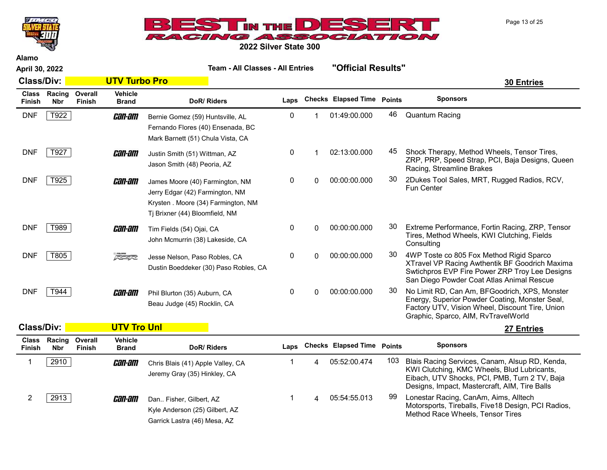



2022 Silver State 300

April 30, 2022 Team - All Classes - All Entries "Official Results" Class/Div: UTV Turbo Pro 30 Entries Class Racing Finish Nbr **Overall** Finish **Vehicle**<br>Brand DoR/ Riders **Laps** Checks Elapsed Time Points Sponsors DNF T922 **Can-am** Bernie Gomez (59) Huntsville, AL 0 1 01:49:00.000 46 Quantum Racing Fernando Flores (40) Ensenada, BC Mark Barnett (51) Chula Vista, CA DNF T927 **CHILM Justin Smith (51) Wittman, AZ** 6 1 02:13:00.000 45 Shock Therapy, Method Wheels, Tensor Tires, ZRP, PRP, Speed Strap, PCI, Baja Designs, Queen Racing, Streamline Brakes Justin Smith (51) Wittman, AZ Jason Smith (48) Peoria, AZ DNF T925 2Dukes Tool Sales, MRT, Rugged Radios, RCV, Fun Center James Moore (40) Farmington, NM Jerry Edgar (42) Farmington, NM Krysten . Moore (34) Farmington, NM Tj Brixner (44) Bloomfield, NM DNF | T989 | **CHI-HIII** Tim Fields (54) Olai CA  $0$  0 00:00:00.000 00:00:00.000 Performance, Fortin Racing, ZRP, Tensor Tires, Method Wheels, KWI Clutching, Fields **Consulting** Tim Fields (54) Ojai, CA John Mcmurrin (38) Lakeside, CA DNF | T805 | TROS | TROS | Insse Nelson Paso Robles CA | 0 00:00:00.000 00:00.000 000 4WP Toste co 805 Fox Method Rigid Sparco XTravel VP Racing Awthentik BF Goodrich Maxima Swtichpros EVP Fire Power ZRP Troy Lee Designs San Diego Powder Coat Atlas Animal Rescue Jesse Nelson, Paso Robles, CA Dustin Boeddeker (30) Paso Robles, CA DNF T944 **CHILE AM CHILE REST AND AM CHILE AND AM CHILE AND AM CHILE RESPONSIVE AM**, BFGoodrich, XPS, Monster Energy, Superior Powder Coating, Monster Seal, Factory UTV, Vision Wheel, Discount Tire, Union Graphic, Sparco, AIM, RvTravelWorld Phil Blurton (35) Auburn, CA Beau Judge (45) Rocklin, CA Class/Div: UTV Tro Unl 27 Entries Class Finish Racing Nbr **Overall** Finish Vehicle Brand DoR/ Riders Laps Checks Elapsed Time Points Sponsors 1 2910 **CHI-HII** Chris Blais (41) Apple Valley. CA 1 4 05:52:00.474 103 Blais Racing Services, Canam, Alsup RD, Kenda, KWI Clutching, KMC Wheels, Blud Lubricants, Eibach, UTV Shocks, PCI, PMB, Turn 2 TV, Baja Designs, Impact, Mastercraft, AIM, Tire Balls Chris Blais (41) Apple Valley, CA Jeremy Gray (35) Hinkley, CA 2 2913 **Can-am** Dan Fisher Gilbert AZ 1 4 05:54:55.013 99 Lonestar Racing, CanAm, Aims, Alltech Motorsports, Tireballs, Five18 Design, PCI Radios, Method Race Wheels, Tensor Tires Dan.. Fisher, Gilbert, AZ Kyle Anderson (25) Gilbert, AZ

Garrick Lastra (46) Mesa, AZ

Page 13 of 25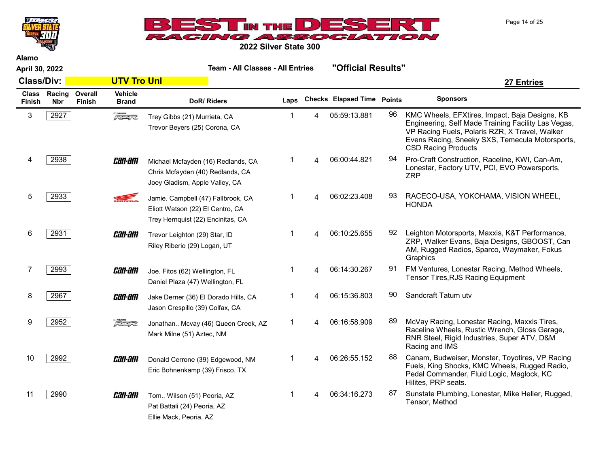



| April 30, 2022    |                            |                   |                                | <b>Team - All Classes - All Entries</b>                                                                     | "Official Results" |   |                            |               |                                                                                                                                                                                                                                          |
|-------------------|----------------------------|-------------------|--------------------------------|-------------------------------------------------------------------------------------------------------------|--------------------|---|----------------------------|---------------|------------------------------------------------------------------------------------------------------------------------------------------------------------------------------------------------------------------------------------------|
| <b>Class/Div:</b> |                            |                   | <b>UTV Tro Unl</b>             |                                                                                                             |                    |   |                            |               | 27 Entries                                                                                                                                                                                                                               |
| Finish            | Class Racing<br><b>Nbr</b> | Overall<br>Finish | <b>Vehicle</b><br><b>Brand</b> | DoR/Riders                                                                                                  | Laps               |   | <b>Checks Elapsed Time</b> | <b>Points</b> | <b>Sponsors</b>                                                                                                                                                                                                                          |
| 3                 | 2927                       |                   | $\sqrt{2}$                     | Trey Gibbs (21) Murrieta, CA<br>Trevor Beyers (25) Corona, CA                                               | 1                  | 4 | 05:59:13.881               | 96            | KMC Wheels, EFXtires, Impact, Baja Designs, KB<br>Engineering, Self Made Training Facility Las Vegas,<br>VP Racing Fuels, Polaris RZR, X Travel, Walker<br>Evens Racing, Sneeky SXS, Temecula Motorsports,<br><b>CSD Racing Products</b> |
| 4                 | 2938                       |                   | <i>can-am</i>                  | Michael Mcfayden (16) Redlands, CA<br>Chris Mcfayden (40) Redlands, CA<br>Joey Gladism, Apple Valley, CA    | 1                  | Δ | 06:00:44.821               | 94            | Pro-Craft Construction, Raceline, KWI, Can-Am,<br>Lonestar, Factory UTV, PCI, EVO Powersports,<br><b>ZRP</b>                                                                                                                             |
| 5                 | 2933                       |                   | <b>STEAD</b>                   | Jamie. Campbell (47) Fallbrook, CA<br>Eliott Watson (22) El Centro, CA<br>Trey Hernquist (22) Encinitas, CA |                    |   | 06:02:23.408               | 93            | RACECO-USA, YOKOHAMA, VISION WHEEL,<br><b>HONDA</b>                                                                                                                                                                                      |
| 6                 | 2931                       |                   | <i>can-am</i>                  | Trevor Leighton (29) Star, ID<br>Riley Riberio (29) Logan, UT                                               | 1                  |   | 06:10:25.655               | 92            | Leighton Motorsports, Maxxis, K&T Performance,<br>ZRP, Walker Evans, Baja Designs, GBOOST, Can<br>AM, Rugged Radios, Sparco, Waymaker, Fokus<br>Graphics                                                                                 |
| 7                 | 2993                       |                   | <i>can-am</i>                  | Joe. Fitos (62) Wellington, FL<br>Daniel Plaza (47) Wellington, FL                                          |                    |   | 06:14:30.267               | 91            | FM Ventures, Lonestar Racing, Method Wheels,<br>Tensor Tires, RJS Racing Equipment                                                                                                                                                       |
| 8                 | 2967                       |                   | <i>can-am</i>                  | Jake Derner (36) El Dorado Hills, CA<br>Jason Crespillo (39) Colfax, CA                                     |                    | 4 | 06:15:36.803               | 90            | Sandcraft Tatum utv                                                                                                                                                                                                                      |
| 9                 | 2952                       |                   | $\sqrt{2}$                     | Jonathan Mcvay (46) Queen Creek, AZ<br>Mark Milne (51) Aztec, NM                                            | 1                  | 4 | 06:16:58.909               | 89            | McVay Racing, Lonestar Racing, Maxxis Tires,<br>Raceline Wheels, Rustic Wrench, Gloss Garage,<br>RNR Steel, Rigid Industries, Super ATV, D&M<br>Racing and IMS                                                                           |
| 10                | 2992                       |                   | <i>can-am</i>                  | Donald Cerrone (39) Edgewood, NM<br>Eric Bohnenkamp (39) Frisco, TX                                         |                    |   | 06:26:55.152               | 88            | Canam, Budweiser, Monster, Toyotires, VP Racing<br>Fuels, King Shocks, KMC Wheels, Rugged Radio,<br>Pedal Commander, Fluid Logic, Maglock, KC<br>Hilites, PRP seats.                                                                     |
| 11                | 2990                       |                   | <i>can-am</i>                  | Tom Wilson (51) Peoria, AZ<br>Pat Battali (24) Peoria, AZ<br>Ellie Mack, Peoria, AZ                         |                    |   | 06:34:16.273               | 87            | Sunstate Plumbing, Lonestar, Mike Heller, Rugged,<br>Tensor, Method                                                                                                                                                                      |

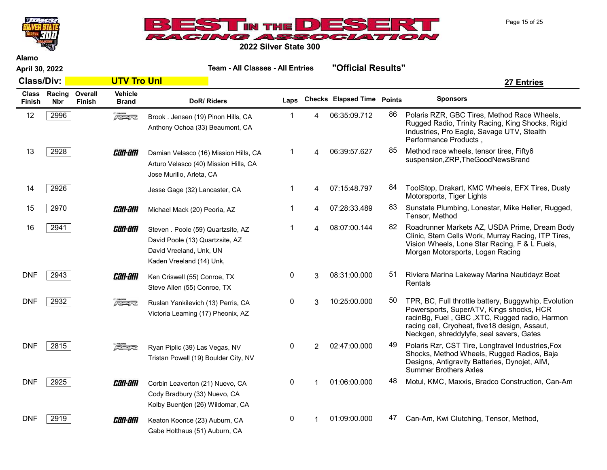



2022 Silver State 300

April 30, 2022 Team - All Classes - All Entries "Official Results" Class/Div: UTV Tro Unl 27 Entries Class Racing Finish Nbr **Overall** Finish **Vehicle**<br>Brand DoR/ Riders **Laps Checks Elapsed Time Points** Sponsors 12 2996 **Polaris RZR, GBC Tires, Method Race Wheels,** 1 2 3996 Polaris RZR, GBC Tires, Method Race Wheels, Rugged Radio, Trinity Racing, King Shocks, Rigid Industries, Pro Eagle, Savage UTV, Stealth Performance Products , Brook . Jensen (19) Pinon Hills, CA Anthony Ochoa (33) Beaumont, CA 13 2928 **CHIL-HII** Damian Velasco (16) Mission Hills. CA 1 4 06:39:57.627 <sup>85</sup> Method race wheels, tensor tires, Fifty6 suspension,ZRP,TheGoodNewsBrand Damian Velasco (16) Mission Hills, CA Arturo Velasco (40) Mission Hills, CA Jose Murillo, Arleta, CA 14 2926 ToolStop, Drakart, KMC Wheels, EFX Tires, Dusty Motorsports, Tiger Lights Jesse Gage (32) Lancaster, CA 15 2970 **Can-am** Michael Mack (20) Peoria AZ 1 4 07:28:33.489 83 Sunstate Plumbing, Lonestar, Mike Heller, Rugged, Tensor, Method Michael Mack (20) Peoria, AZ 16 2941 **CHIL-HILL** Steven Poole (59) Quartzsite AZ 1 4 08:07:00.144 <sup>82</sup> Roadrunner Markets AZ, USDA Prime, Dream Body Clinic, Stem Cells Work, Murray Racing, ITP Tires, Vision Wheels, Lone Star Racing, F & L Fuels, Morgan Motorsports, Logan Racing Steven . Poole (59) Quartzsite, AZ David Poole (13) Quartzsite, AZ David Vreeland, Unk, UN Kaden Vreeland (14) Unk, DNF 2943 **CHILE ANGLE 2013** Riviera Marina Lakeway Marina Nautidayz Boat (55) Conroe. TX 66 AMb Androne Control C Rentals Ken Criswell (55) Conroe, TX Steve Allen (55) Conroe, TX DNF 2932 TPR, BC, Full throttle battery, Buggywhip, Evolution Powersports, SuperATV, Kings shocks, HCR racinBg, Fuel , GBC ,XTC, Rugged radio, Harmon racing cell, Cryoheat, five18 design, Assaut, Neckgen, shreddylyfe, seal savers, Gates Ruslan Yankilevich (13) Perris, CA Victoria Leaming (17) Pheonix, AZ DNF 2815 **Polaris Riverse Register Ryan Piplic (39) Las Vegas. NV** 0 2 02:47:00.000 49 Polaris Rzr, CST Tire, Longtravel Industries,Fox Shocks, Method Wheels, Rugged Radios, Baja Designs, Antigravity Batteries, Dynojet, AIM, Summer Brothers Axles Ryan Piplic (39) Las Vegas, NV Tristan Powell (19) Boulder City, NV DNF 2925 **Can-am** Corbin Leaverton (21) Nuevo, CA 0 1 01:06:00.000 48 Motul, KMC, Maxxis, Bradco Construction, Can-Am Cody Bradbury (33) Nuevo, CA Kolby Buentjen (26) Wildomar, CA DNF 2919 **CHILE ANT CANTER CONTAIN** Keaton Koonce (23) Auburn, CA 0 1 01:09:00.000 47 Can-Am, Kwi Clutching, Tensor, Method, Gabe Holthaus (51) Auburn, CA

Page 15 of 25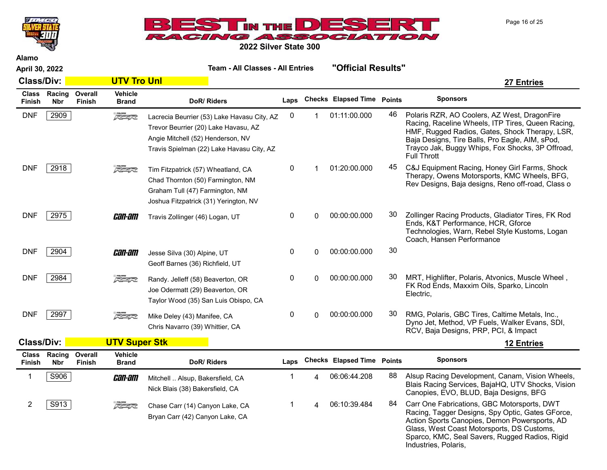



Alamo

| April 30, 2022         |                             |                          |                                | <b>Team - All Classes - All Entries</b>                                                                                                                               |              |   | "Official Results"                |               |                                                                                                                                                                                                                                                                                  |
|------------------------|-----------------------------|--------------------------|--------------------------------|-----------------------------------------------------------------------------------------------------------------------------------------------------------------------|--------------|---|-----------------------------------|---------------|----------------------------------------------------------------------------------------------------------------------------------------------------------------------------------------------------------------------------------------------------------------------------------|
| <b>Class/Div:</b>      |                             |                          | <b>UTV Tro Unl</b>             |                                                                                                                                                                       |              |   |                                   |               | <b>27 Entries</b>                                                                                                                                                                                                                                                                |
| <b>Class</b><br>Finish | <b>Racing</b><br><b>Nbr</b> | Overall<br><b>Finish</b> | <b>Vehicle</b><br><b>Brand</b> | DoR/Riders                                                                                                                                                            | Laps         |   | <b>Checks Elapsed Time Points</b> |               | <b>Sponsors</b>                                                                                                                                                                                                                                                                  |
| <b>DNF</b>             | 2909                        |                          | $\sqrt{2}$                     | Lacrecia Beurrier (53) Lake Havasu City, AZ<br>Trevor Beurrier (20) Lake Havasu, AZ<br>Angie Mitchell (52) Henderson, NV<br>Travis Spielman (22) Lake Havasu City, AZ | 0            | 1 | 01:11:00.000                      | 46            | Polaris RZR, AO Coolers, AZ West, DragonFire<br>Racing, Raceline Wheels, ITP Tires, Queen Racing,<br>HMF, Rugged Radios, Gates, Shock Therapy, LSR,<br>Baja Designs, Tire Balls, Pro Eagle, AIM, sPod,<br>Trayco Jak, Buggy Whips, Fox Shocks, 3P Offroad,<br><b>Full Thrott</b> |
| <b>DNF</b>             | 2918                        |                          | $\sqrt{2}$                     | Tim Fitzpatrick (57) Wheatland, CA<br>Chad Thornton (50) Farmington, NM<br>Graham Tull (47) Farmington, NM<br>Joshua Fitzpatrick (31) Yerington, NV                   | 0            |   | 01:20:00.000                      | 45            | C&J Equipment Racing, Honey Girl Farms, Shock<br>Therapy, Owens Motorsports, KMC Wheels, BFG,<br>Rev Designs, Baja designs, Reno off-road, Class o                                                                                                                               |
| <b>DNF</b>             | 2975                        |                          | <i>can-am</i>                  | Travis Zollinger (46) Logan, UT                                                                                                                                       | 0            | 0 | 00:00:00.000                      | 30            | Zollinger Racing Products, Gladiator Tires, FK Rod<br>Ends, K&T Performance, HCR, Gforce<br>Technologies, Warn, Rebel Style Kustoms, Logan<br>Coach, Hansen Performance                                                                                                          |
| <b>DNF</b>             | 2904                        |                          | <i>can-am</i>                  | Jesse Silva (30) Alpine, UT<br>Geoff Barnes (36) Richfield, UT                                                                                                        | 0            | 0 | 00:00:00.000                      | 30            |                                                                                                                                                                                                                                                                                  |
| <b>DNF</b>             | 2984                        |                          | $\sqrt{2}$                     | Randy. Jelleff (58) Beaverton, OR<br>Joe Odermatt (29) Beaverton, OR<br>Taylor Wood (35) San Luis Obispo, CA                                                          | 0            | 0 | 00:00:00.000                      | 30            | MRT, Highlifter, Polaris, Atvonics, Muscle Wheel,<br>FK Rod Ends, Maxxim Oils, Sparko, Lincoln<br>Electric,                                                                                                                                                                      |
| <b>DNF</b>             | 2997                        |                          | $\sqrt{2}$                     | Mike Deley (43) Manifee, CA<br>Chris Navarro (39) Whittier, CA                                                                                                        | $\mathbf{0}$ | 0 | 00:00:00.000                      | 30            | RMG, Polaris, GBC Tires, Caltime Metals, Inc.,<br>Dyno Jet, Method, VP Fuels, Walker Evans, SDI,<br>RCV, Baja Designs, PRP, PCI, & Impact                                                                                                                                        |
| <b>Class/Div:</b>      |                             |                          | <b>UTV Super Stk</b>           |                                                                                                                                                                       |              |   |                                   |               | <b>12 Entries</b>                                                                                                                                                                                                                                                                |
| <b>Class</b><br>Finish | Racing<br><b>Nbr</b>        | Overall<br>Finish        | <b>Vehicle</b><br><b>Brand</b> | DoR/Riders                                                                                                                                                            | Laps         |   | <b>Checks Elapsed Time</b>        | <b>Points</b> | <b>Sponsors</b>                                                                                                                                                                                                                                                                  |
| 1                      | S906                        |                          | <i>can-am</i>                  | Mitchell  Alsup, Bakersfield, CA<br>Nick Blais (38) Bakersfield, CA                                                                                                   |              | Δ | 06:06:44.208                      | 88            | Alsup Racing Development, Canam, Vision Wheels,<br>Blais Racing Services, BajaHQ, UTV Shocks, Vision<br>Canopies, EVO, BLUD, Baja Designs, BFG                                                                                                                                   |

2 S913 Samma Chase Carr (14) Canyon Lake, CA 1 4 06:10:39.484 84 Carr One Fabrications, GBC Motorsports, DWT

Chase Carr (14) Canyon Lake, CA Bryan Carr (42) Canyon Lake, CA

Page 16 of 25

Glass, West Coast Motorsports, DS Customs, Sparco, KMC, Seal Savers, Rugged Radios, Rigid Industries, Polaris,

Racing, Tagger Designs, Spy Optic, Gates GForce, Action Sports Canopies, Demon Powersports, AD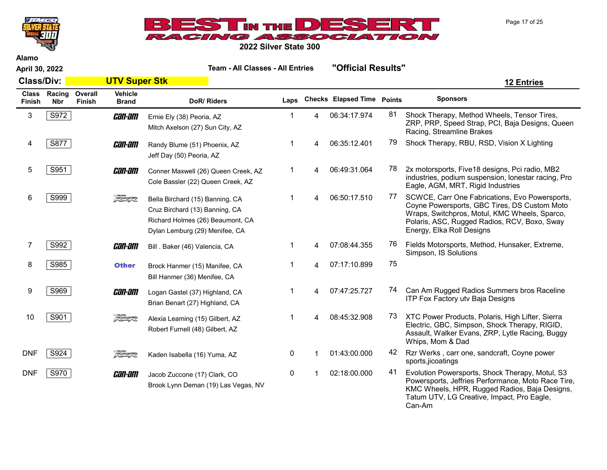



April 30, 2022 Team - All Classes - All Entries "Official Results"

Alamo

| <b>Class/Div:</b> | <b>UTV Super Stk</b> |
|-------------------|----------------------|
|                   |                      |

| <b>Class</b><br><b>Finish</b> | Racing<br><b>Nbr</b> | Overall<br>Finish | <b>Vehicle</b><br><b>Brand</b> | DoR/Riders                                                                                                                                                          | Laps |   | <b>Checks Elapsed Time Points</b> |    | <b>Sponsors</b>                                                                                                                                                                                                              |
|-------------------------------|----------------------|-------------------|--------------------------------|---------------------------------------------------------------------------------------------------------------------------------------------------------------------|------|---|-----------------------------------|----|------------------------------------------------------------------------------------------------------------------------------------------------------------------------------------------------------------------------------|
| 3                             | S972                 |                   | <i>can-am</i>                  | Ernie Ely (38) Peoria, AZ<br>Mitch Axelson (27) Sun City, AZ                                                                                                        |      | 4 | 06:34:17.974                      | 81 | Shock Therapy, Method Wheels, Tensor Tires,<br>ZRP, PRP, Speed Strap, PCI, Baja Designs, Queen<br>Racing, Streamline Brakes                                                                                                  |
| 4                             | S877                 |                   | <i>can-am</i>                  | Randy Blume (51) Phoenix, AZ<br>Jeff Day (50) Peoria, AZ                                                                                                            |      |   | 06:35:12.401                      | 79 | Shock Therapy, RBU, RSD, Vision X Lighting                                                                                                                                                                                   |
| 5                             | S951                 |                   | <i>can-am</i>                  | Conner Maxwell (26) Queen Creek, AZ<br>Cole Bassler (22) Queen Creek, AZ                                                                                            |      | 4 | 06:49:31.064                      | 78 | 2x motorsports, Five18 designs, Pci radio, MB2<br>industries, podium suspension, lonestar racing, Pro<br>Eagle, AGM, MRT, Rigid Industries                                                                                   |
| 6                             | S999                 |                   | $\sqrt{2}$                     | Bella Birchard (15) Banning, CA<br>Cruz Birchard (13) Banning, CA<br>Richard Holmes (26) Beaumont, CA<br>Dylan Lemburg (29) Menifee, CA                             |      | 4 | 06:50:17.510                      | 77 | SCWCE, Carr One Fabrications, Evo Powersports,<br>Coyne Powersports, GBC Tires, DS Custom Moto<br>Wraps, Switchpros, Motul, KMC Wheels, Sparco,<br>Polaris, ASC, Rugged Radios, RCV, Boxo, Sway<br>Energy, Elka Roll Designs |
|                               | S992                 |                   | <i>can-am</i>                  | Bill . Baker (46) Valencia, CA                                                                                                                                      |      |   | 07:08:44.355                      | 76 | Fields Motorsports, Method, Hunsaker, Extreme,<br>Simpson, IS Solutions                                                                                                                                                      |
| 8                             | S985                 |                   | <b>Other</b>                   | Brock Hanmer (15) Manifee, CA<br>Bill Hanmer (36) Menifee, CA                                                                                                       |      | 4 | 07:17:10.899                      | 75 |                                                                                                                                                                                                                              |
| 9                             | S969                 |                   | <i>can-am</i>                  | Logan Gastel (37) Highland, CA<br>Brian Benart (27) Highland, CA                                                                                                    |      |   | 07:47:25.727                      | 74 | Can Am Rugged Radios Summers bros Raceline<br>ITP Fox Factory utv Baja Designs                                                                                                                                               |
| 10                            | S901                 |                   | $\sqrt{2}$                     | Alexia Leaming (15) Gilbert, AZ<br>Robert Furnell (48) Gilbert, AZ                                                                                                  |      |   | 08:45:32.908                      | 73 | XTC Power Products, Polaris, High Lifter, Sierra<br>Electric, GBC, Simpson, Shock Therapy, RIGID,<br>Assault, Walker Evans, ZRP, Lytle Racing, Buggy<br>Whips, Mom & Dad                                                     |
| <b>DNF</b>                    | S924                 |                   | 522                            | Kaden Isabella (16) Yuma, AZ                                                                                                                                        | 0    |   | 01:43:00.000                      | 42 | Rzr Werks, carr one, sandcraft, Coyne power<br>sports,jicoatings                                                                                                                                                             |
| <b>DNF</b>                    | S970                 |                   | <i>can-am</i>                  | Jacob Zuccone (17) Clark, CO<br>$\mathbf{D}_{\text{max}}$ , is the same $\mathbf{D}_{\text{max}}$ and $\mathbf{A}(\mathbf{O})$ is a $\mathbf{M}_{\text{max}}$ while | 0    |   | 02:18:00.000                      | 41 | Evolution Powersports, Shock Therapy, Motul, S3<br>Powersports, Jeffries Performance, Moto Race Tire,                                                                                                                        |

Brook Lynn Deman (19) Las Vegas, NV

Page 17 of 25

KMC Wheels, HPR, Rugged Radios, Baja Designs, Tatum UTV, LG Creative, Impact, Pro Eagle,

Can-Am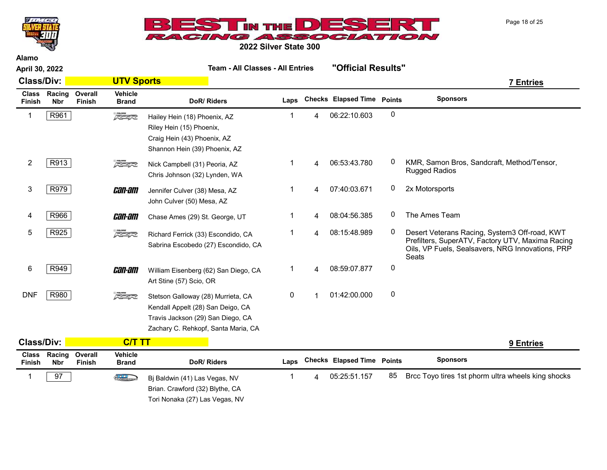



2022 Silver State 300

|                               | April 30, 2022       |                   |                                | <b>Team - All Classes - All Entries</b>                                                                                                             |           |    | "Official Results"                |           |                                                                                                                                                                |
|-------------------------------|----------------------|-------------------|--------------------------------|-----------------------------------------------------------------------------------------------------------------------------------------------------|-----------|----|-----------------------------------|-----------|----------------------------------------------------------------------------------------------------------------------------------------------------------------|
| <b>Class/Div:</b>             |                      |                   | <b>UTV Sports</b>              |                                                                                                                                                     |           |    |                                   |           | <b>7 Entries</b>                                                                                                                                               |
| <b>Class</b><br><b>Finish</b> | Racing<br><b>Nbr</b> | Overall<br>Finish | <b>Vehicle</b><br><b>Brand</b> | DoR/Riders                                                                                                                                          | Laps      |    | <b>Checks Elapsed Time Points</b> |           | <b>Sponsors</b>                                                                                                                                                |
| -1                            | R961                 |                   | $\sqrt{2}$                     | Hailey Hein (18) Phoenix, AZ<br>Riley Hein (15) Phoenix,<br>Craig Hein (43) Phoenix, AZ<br>Shannon Hein (39) Phoenix, AZ                            | 1         | 4  | 06:22:10.603                      | 0         |                                                                                                                                                                |
| $\overline{2}$                | R913                 |                   | $\sqrt{2}$                     | Nick Campbell (31) Peoria, AZ<br>Chris Johnson (32) Lynden, WA                                                                                      | 1         | 4  | 06:53:43.780                      | 0         | KMR, Samon Bros, Sandcraft, Method/Tensor,<br>Rugged Radios                                                                                                    |
| 3                             | R979                 |                   | <i>can-am</i>                  | Jennifer Culver (38) Mesa, AZ<br>John Culver (50) Mesa, AZ                                                                                          | 1         | 4  | 07:40:03.671                      | 0         | 2x Motorsports                                                                                                                                                 |
| 4                             | R966                 |                   | <i>can-am</i>                  | Chase Ames (29) St. George, UT                                                                                                                      | 1         | 4  | 08:04:56.385                      | 0         | The Ames Team                                                                                                                                                  |
| 5                             | R925                 |                   | $\sqrt{2}$                     | Richard Ferrick (33) Escondido, CA<br>Sabrina Escobedo (27) Escondido, CA                                                                           | 1         | 4  | 08:15:48.989                      | 0         | Desert Veterans Racing, System3 Off-road, KWT<br>Prefilters, SuperATV, Factory UTV, Maxima Racing<br>Oils, VP Fuels, Sealsavers, NRG Innovations, PRP<br>Seats |
| 6                             | R949                 |                   | <i>can-am</i>                  | William Eisenberg (62) San Diego, CA<br>Art Stine (57) Scio, OR                                                                                     | 1         | 4  | 08:59:07.877                      | 0         |                                                                                                                                                                |
| <b>DNF</b>                    | R980                 |                   | $\sqrt{2}$                     | Stetson Galloway (28) Murrieta, CA<br>Kendall Appelt (28) San Deigo, CA<br>Travis Jackson (29) San Diego, CA<br>Zachary C. Rehkopf, Santa Maria, CA | $\pmb{0}$ | -1 | 01:42:00.000                      | $\pmb{0}$ |                                                                                                                                                                |
| <b>Class/Div:</b>             |                      |                   | <b>C/T TT</b>                  |                                                                                                                                                     |           |    |                                   |           | 9 Entries                                                                                                                                                      |
| <b>Class</b><br><b>Finish</b> | Racing<br><b>Nbr</b> | Overall<br>Finish | <b>Vehicle</b><br><b>Brand</b> | DoR/Riders                                                                                                                                          | Laps      |    | <b>Checks Elapsed Time Points</b> |           | <b>Sponsors</b>                                                                                                                                                |
| -1                            | 97                   |                   | <b>CLERGINE</b>                | Bj Baldwin (41) Las Vegas, NV<br>Brian. Crawford (32) Blythe, CA                                                                                    |           | 4  | 05:25:51.157                      | 85        | Brcc Toyo tires 1st phorm ultra wheels king shocks                                                                                                             |

Tori Nonaka (27) Las Vegas, NV

Page 18 of 25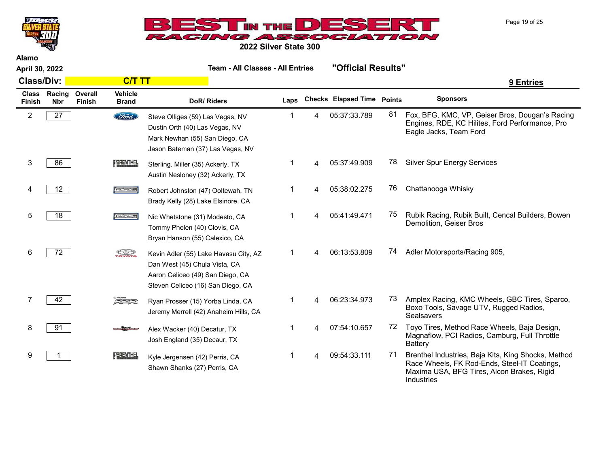Page 19 of 25



2022 Silver State 300

|                               | April 30, 2022       |                   |                                | <b>Team - All Classes - All Entries</b>                                                                                                         |      |   | "Official Results"         |               |                                                                                                                                                                 |
|-------------------------------|----------------------|-------------------|--------------------------------|-------------------------------------------------------------------------------------------------------------------------------------------------|------|---|----------------------------|---------------|-----------------------------------------------------------------------------------------------------------------------------------------------------------------|
| <b>Class/Div:</b>             |                      |                   | <b>C/T TT</b>                  |                                                                                                                                                 |      |   |                            |               | 9 Entries                                                                                                                                                       |
| <b>Class</b><br><b>Finish</b> | Racing<br><b>Nbr</b> | Overall<br>Finish | <b>Vehicle</b><br><b>Brand</b> | <b>DoR/Riders</b>                                                                                                                               | Laps |   | <b>Checks Elapsed Time</b> | <b>Points</b> | <b>Sponsors</b>                                                                                                                                                 |
| $\overline{2}$                | 27                   |                   | <b>Ford</b>                    | Steve Olliges (59) Las Vegas, NV<br>Dustin Orth (40) Las Vegas, NV<br>Mark Newhan (55) San Diego, CA<br>Jason Bateman (37) Las Vegas, NV        | 1    | 4 | 05:37:33.789               | 81            | Fox, BFG, KMC, VP, Geiser Bros, Dougan's Racing<br>Engines, RDE, KC Hilites, Ford Performance, Pro<br>Eagle Jacks, Team Ford                                    |
| 3                             | 86                   |                   | FERENTHEL                      | Sterling. Miller (35) Ackerly, TX<br>Austin Nesloney (32) Ackerly, TX                                                                           |      | 4 | 05:37:49.909               | 78            | <b>Silver Spur Energy Services</b>                                                                                                                              |
| 4                             | 12 <sup>°</sup>      |                   | Geisena                        | Robert Johnston (47) Ooltewah, TN<br>Brady Kelly (28) Lake Elsinore, CA                                                                         | 1    | 4 | 05:38:02.275               | 76            | Chattanooga Whisky                                                                                                                                              |
| 5                             | 18                   |                   | Geisena                        | Nic Whetstone (31) Modesto, CA<br>Tommy Phelen (40) Clovis, CA<br>Bryan Hanson (55) Calexico, CA                                                | 1    | 4 | 05:41:49.471               | 75            | Rubik Racing, Rubik Built, Cencal Builders, Bowen<br>Demolition, Geiser Bros                                                                                    |
| 6                             | 72                   |                   | <b>SOP</b>                     | Kevin Adler (55) Lake Havasu City, AZ<br>Dan West (45) Chula Vista, CA<br>Aaron Celiceo (49) San Diego, CA<br>Steven Celiceo (16) San Diego, CA | 1    | 4 | 06:13:53.809               | 74            | Adler Motorsports/Racing 905,                                                                                                                                   |
|                               | 42                   |                   | $\sqrt{2}$                     | Ryan Prosser (15) Yorba Linda, CA<br>Jeremy Merrell (42) Anaheim Hills, CA                                                                      |      |   | 06:23:34.973               | 73.           | Amplex Racing, KMC Wheels, GBC Tires, Sparco,<br>Boxo Tools, Savage UTV, Rugged Radios,<br>Sealsavers                                                           |
| 8                             | 91                   |                   |                                | Alex Wacker (40) Decatur, TX<br>Josh England (35) Decaur, TX                                                                                    | 1    | 4 | 07:54:10.657               | 72            | Toyo Tires, Method Race Wheels, Baja Design,<br>Magnaflow, PCI Radios, Camburg, Full Throttle<br><b>Battery</b>                                                 |
| 9                             |                      |                   | FBRENTHEL                      | Kyle Jergensen (42) Perris, CA<br>Shawn Shanks (27) Perris, CA                                                                                  | 1    | 4 | 09:54:33.111               | 71            | Brenthel Industries, Baja Kits, King Shocks, Method<br>Race Wheels, FK Rod-Ends, Steel-IT Coatings,<br>Maxima USA, BFG Tires, Alcon Brakes, Rigid<br>Industries |

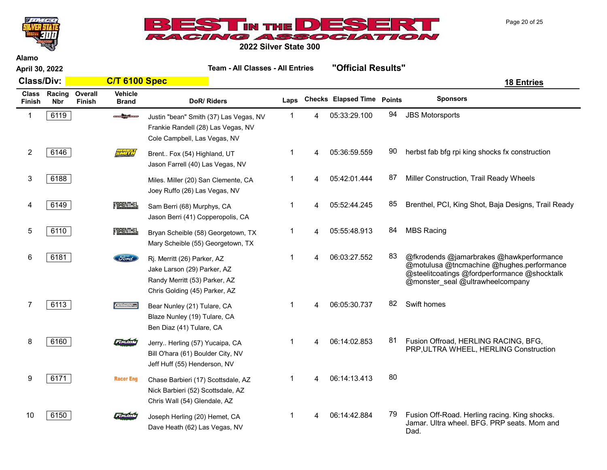



2022 Silver State 300

| April 30, 2022                |                      |                          |                         |                                                                                                                              | <b>Team - All Classes - All Entries</b> |   |                                   |    | "Official Results"                                                                                                                                                        |
|-------------------------------|----------------------|--------------------------|-------------------------|------------------------------------------------------------------------------------------------------------------------------|-----------------------------------------|---|-----------------------------------|----|---------------------------------------------------------------------------------------------------------------------------------------------------------------------------|
| <b>Class/Div:</b>             |                      |                          | <b>C/T 6100 Spec</b>    |                                                                                                                              |                                         |   |                                   |    | <b>18 Entries</b>                                                                                                                                                         |
| <b>Class</b><br><b>Finish</b> | Racing<br><b>Nbr</b> | Overall<br><b>Finish</b> | Vehicle<br><b>Brand</b> | DoR/Riders                                                                                                                   | Laps                                    |   | <b>Checks Elapsed Time Points</b> |    | <b>Sponsors</b>                                                                                                                                                           |
| 1                             | 6119                 |                          | <b>CONTRACTOR</b>       | Justin "bean" Smith (37) Las Vegas, NV<br>Frankie Randell (28) Las Vegas, NV<br>Cole Campbell, Las Vegas, NV                 | $\mathbf 1$                             | 4 | 05:33:29.100                      | 94 | <b>JBS Motorsports</b>                                                                                                                                                    |
| 2                             | 6146                 |                          | <b>Carl Library</b>     | Brent Fox (54) Highland, UT<br>Jason Farrell (40) Las Vegas, NV                                                              | 1                                       | 4 | 05:36:59.559                      | 90 | herbst fab bfg rpi king shocks fx construction                                                                                                                            |
| 3                             | 6188                 |                          |                         | Miles. Miller (20) San Clemente, CA<br>Joey Ruffo (26) Las Vegas, NV                                                         | 1                                       | 4 | 05:42:01.444                      | 87 | Miller Construction, Trail Ready Wheels                                                                                                                                   |
| 4                             | 6149                 |                          | <b>TBRENTHEL</b>        | Sam Berri (68) Murphys, CA<br>Jason Berri (41) Copperopolis, CA                                                              | $\mathbf{1}$                            | 4 | 05:52:44.245                      | 85 | Brenthel, PCI, King Shot, Baja Designs, Trail Ready                                                                                                                       |
| 5                             | 6110                 |                          | <b>TERENTHEL</b>        | Bryan Scheible (58) Georgetown, TX<br>Mary Scheible (55) Georgetown, TX                                                      | 1                                       | 4 | 05:55:48.913                      | 84 | <b>MBS Racing</b>                                                                                                                                                         |
| 6                             | 6181                 |                          | <b>Ford</b>             | Rj. Merritt (26) Parker, AZ<br>Jake Larson (29) Parker, AZ<br>Randy Merritt (53) Parker, AZ<br>Chris Golding (45) Parker, AZ | $\mathbf{1}$                            | 4 | 06:03:27.552                      | 83 | @fkrodends @jamarbrakes @hawkperformance<br>@motulusa @tncmachine @hughes.performance<br>@steelitcoatings @fordperformance @shocktalk<br>@monster_seal @ultrawheelcompany |
| 7                             | 6113                 |                          | <b>Oeisen</b> os        | Bear Nunley (21) Tulare, CA<br>Blaze Nunley (19) Tulare, CA<br>Ben Diaz (41) Tulare, CA                                      | $\mathbf{1}$                            | 4 | 06:05:30.737                      | 82 | Swift homes                                                                                                                                                               |
| 8                             | 6160                 |                          | باستطاعته               | Jerry Herling (57) Yucaipa, CA<br>Bill O'hara (61) Boulder City, NV<br>Jeff Huff (55) Henderson, NV                          | 1                                       | 4 | 06:14:02.853                      | 81 | Fusion Offroad, HERLING RACING, BFG,<br>PRP, ULTRA WHEEL, HERLING Construction                                                                                            |
| 9                             | 6171                 |                          | <b>Racer Eng</b>        | Chase Barbieri (17) Scottsdale, AZ<br>Nick Barbieri (52) Scottsdale, AZ<br>Chris Wall (54) Glendale, AZ                      | 1                                       | 4 | 06:14:13.413                      | 80 |                                                                                                                                                                           |
| 10                            | 6150                 |                          | 7136T                   | Joseph Herling (20) Hemet, CA<br>Dave Heath (62) Las Vegas, NV                                                               | 1                                       | 4 | 06:14:42.884                      | 79 | Fusion Off-Road. Herling racing. King shocks.<br>Jamar. Ultra wheel. BFG. PRP seats. Mom and<br>Dad.                                                                      |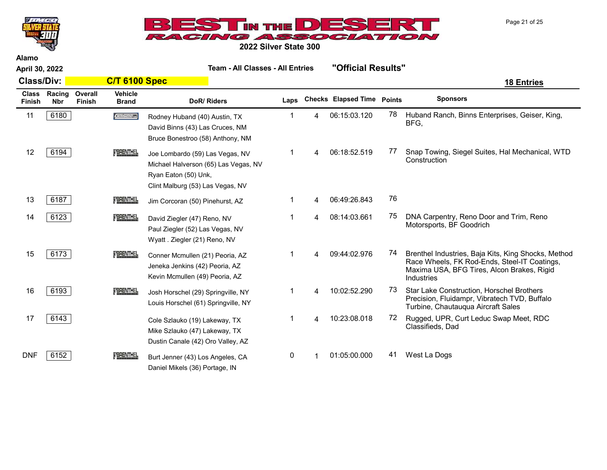



2022 Silver State 300

|                        | April 30, 2022       |                          |                                | <b>Team - All Classes - All Entries</b>                                                                                             |              |   | "Official Results"         |               |                                                                                                                                                                 |
|------------------------|----------------------|--------------------------|--------------------------------|-------------------------------------------------------------------------------------------------------------------------------------|--------------|---|----------------------------|---------------|-----------------------------------------------------------------------------------------------------------------------------------------------------------------|
| <b>Class/Div:</b>      |                      |                          | <b>C/T 6100 Spec</b>           |                                                                                                                                     |              |   |                            |               | <b>18 Entries</b>                                                                                                                                               |
| <b>Class</b><br>Finish | Racing<br><b>Nbr</b> | Overall<br><b>Finish</b> | <b>Vehicle</b><br><b>Brand</b> | DoR/Riders                                                                                                                          | Laps         |   | <b>Checks Elapsed Time</b> | <b>Points</b> | <b>Sponsors</b>                                                                                                                                                 |
| 11                     | 6180                 |                          | Geisena                        | Rodney Huband (40) Austin, TX<br>David Binns (43) Las Cruces, NM<br>Bruce Bonestroo (58) Anthony, NM                                |              | 4 | 06:15:03.120               | 78            | Huband Ranch, Binns Enterprises, Geiser, King,<br>BFG,                                                                                                          |
| 12                     | 6194                 |                          | <b>TERENTHEL</b>               | Joe Lombardo (59) Las Vegas, NV<br>Michael Halverson (65) Las Vegas, NV<br>Ryan Eaton (50) Unk,<br>Clint Malburg (53) Las Vegas, NV |              | 4 | 06:18:52.519               | 77            | Snap Towing, Siegel Suites, Hal Mechanical, WTD<br>Construction                                                                                                 |
| 13                     | 6187                 |                          | FBRENTHEL                      | Jim Corcoran (50) Pinehurst, AZ                                                                                                     |              | 4 | 06:49:26.843               | 76            |                                                                                                                                                                 |
| 14                     | 6123                 |                          | <b>TERENTHEL</b>               | David Ziegler (47) Reno, NV<br>Paul Ziegler (52) Las Vegas, NV<br>Wyatt. Ziegler (21) Reno, NV                                      |              | 4 | 08:14:03.661               | 75            | DNA Carpentry, Reno Door and Trim, Reno<br>Motorsports, BF Goodrich                                                                                             |
| 15                     | 6173                 |                          | <b>TERENTHEL</b>               | Conner Mcmullen (21) Peoria, AZ<br>Jeneka Jenkins (42) Peoria, AZ<br>Kevin Mcmullen (49) Peoria, AZ                                 |              |   | 09:44:02.976               | 74            | Brenthel Industries, Baja Kits, King Shocks, Method<br>Race Wheels, FK Rod-Ends, Steel-IT Coatings,<br>Maxima USA, BFG Tires, Alcon Brakes, Rigid<br>Industries |
| 16                     | 6193                 |                          | <b>TERENTHEL</b>               | Josh Horschel (29) Springville, NY<br>Louis Horschel (61) Springville, NY                                                           |              | 4 | 10:02:52.290               | 73            | Star Lake Construction, Horschel Brothers<br>Precision, Fluidampr, Vibratech TVD, Buffalo<br>Turbine, Chautauqua Aircraft Sales                                 |
| 17                     | 6143                 |                          |                                | Cole Szlauko (19) Lakeway, TX<br>Mike Szlauko (47) Lakeway, TX<br>Dustin Canale (42) Oro Valley, AZ                                 |              | 4 | 10:23:08.018               | 72            | Rugged, UPR, Curt Leduc Swap Meet, RDC<br>Classifieds, Dad                                                                                                      |
| <b>DNF</b>             | 6152                 |                          | <b>TBRENTHEL</b>               | Burt Jenner (43) Los Angeles, CA<br>Daniel Mikels (36) Portage, IN                                                                  | $\mathbf{0}$ |   | 01:05:00.000               | 41            | West La Dogs                                                                                                                                                    |

Page 21 of 25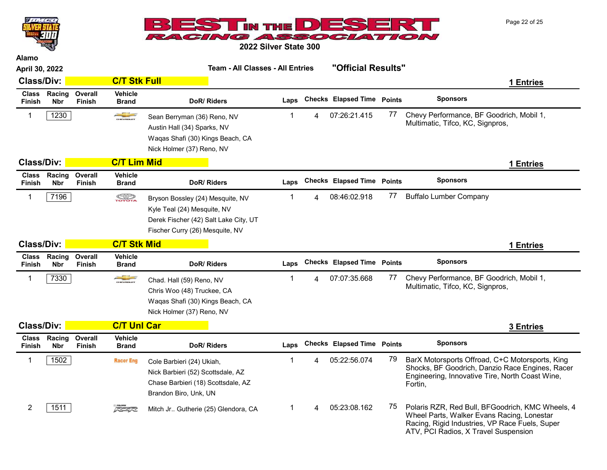Page 22 of 25



2022 Silver State 300

| April 30, 2022                |                      |                          |                                | <b>Team - All Classes - All Entries</b>                                                                                                     |              |   | "Official Results"                |    |                                                                                                                                                                  |
|-------------------------------|----------------------|--------------------------|--------------------------------|---------------------------------------------------------------------------------------------------------------------------------------------|--------------|---|-----------------------------------|----|------------------------------------------------------------------------------------------------------------------------------------------------------------------|
| <b>Class/Div:</b>             |                      |                          | <b>C/T Stk Full</b>            |                                                                                                                                             |              |   |                                   |    | 1 Entries                                                                                                                                                        |
| Class<br>Finish               | Racing<br><b>Nbr</b> | Overall<br>Finish        | <b>Vehicle</b><br><b>Brand</b> | DoR/Riders                                                                                                                                  | Laps         |   | <b>Checks Elapsed Time Points</b> |    | <b>Sponsors</b>                                                                                                                                                  |
| 1                             | 1230                 |                          |                                | Sean Berryman (36) Reno, NV<br>Austin Hall (34) Sparks, NV<br>Waqas Shafi (30) Kings Beach, CA<br>Nick Holmer (37) Reno, NV                 | 1            |   | 07:26:21.415                      | 77 | Chevy Performance, BF Goodrich, Mobil 1,<br>Multimatic, Tifco, KC, Signpros,                                                                                     |
| <b>Class/Div:</b>             |                      |                          | <b>C/T Lim Mid</b>             |                                                                                                                                             |              |   |                                   |    | 1 Entries                                                                                                                                                        |
| <b>Class</b><br><b>Finish</b> | Racing<br><b>Nbr</b> | Overall<br><b>Finish</b> | <b>Vehicle</b><br><b>Brand</b> | DoR/Riders                                                                                                                                  | Laps         |   | <b>Checks Elapsed Time Points</b> |    | <b>Sponsors</b>                                                                                                                                                  |
| 1                             | 7196                 |                          | <b>SOP</b>                     | Bryson Bossley (24) Mesquite, NV<br>Kyle Teal (24) Mesquite, NV<br>Derek Fischer (42) Salt Lake City, UT<br>Fischer Curry (26) Mesquite, NV | 1            |   | 08:46:02.918                      | 77 | <b>Buffalo Lumber Company</b>                                                                                                                                    |
| <b>Class/Div:</b>             |                      |                          | <b>C/T Stk Mid</b>             |                                                                                                                                             |              |   |                                   |    | <b>1 Entries</b>                                                                                                                                                 |
| <b>Class</b><br><b>Finish</b> | Racing<br><b>Nbr</b> | Overall<br>Finish        | <b>Vehicle</b><br><b>Brand</b> | DoR/Riders                                                                                                                                  | Laps         |   | <b>Checks Elapsed Time Points</b> |    | <b>Sponsors</b>                                                                                                                                                  |
| 1                             | 7330                 |                          |                                | Chad. Hall (59) Reno, NV<br>Chris Woo (48) Truckee, CA<br>Waqas Shafi (30) Kings Beach, CA<br>Nick Holmer (37) Reno, NV                     | $\mathbf{1}$ | 4 | 07:07:35.668                      | 77 | Chevy Performance, BF Goodrich, Mobil 1,<br>Multimatic, Tifco, KC, Signpros,                                                                                     |
| <b>Class/Div:</b>             |                      |                          | <b>C/T Unl Car</b>             |                                                                                                                                             |              |   |                                   |    | <b>3 Entries</b>                                                                                                                                                 |
| <b>Class</b><br>Finish        | Racing<br><b>Nbr</b> | Overall<br><b>Finish</b> | <b>Vehicle</b><br><b>Brand</b> | DoR/Riders                                                                                                                                  | Laps         |   | <b>Checks Elapsed Time Points</b> |    | <b>Sponsors</b>                                                                                                                                                  |
| 1                             | 1502                 |                          | <b>Racer Eng</b>               | Cole Barbieri (24) Ukiah,<br>Nick Barbieri (52) Scottsdale, AZ<br>Chase Barbieri (18) Scottsdale, AZ<br>Brandon Biro, Unk, UN               | $\mathbf{1}$ |   | 05:22:56.074                      | 79 | BarX Motorsports Offroad, C+C Motorsports, King<br>Shocks, BF Goodrich, Danzio Race Engines, Racer<br>Engineering, Innovative Tire, North Coast Wine,<br>Fortin, |
| $\overline{c}$                | 1511                 |                          | FEAR                           | Mitch Jr Gutherie (25) Glendora, CA                                                                                                         | 1            | 4 | 05:23:08.162                      | 75 | Polaris RZR, Red Bull, BFGoodrich, KMC Wheels, 4<br>Wheel Parts, Walker Evans Racing, Lonestar<br>Racing, Rigid Industries, VP Race Fuels, Super                 |

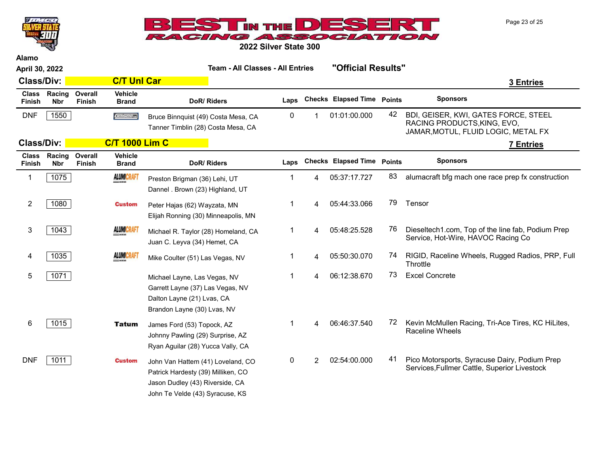Page 23 of 25



Alamo



2022 Silver State 300

| April 30, 2022         |                      |                          |                                | <b>Team - All Classes - All Entries</b>                                                                                                       |      |                |                                   | "Official Results" |                                                                                                            |  |
|------------------------|----------------------|--------------------------|--------------------------------|-----------------------------------------------------------------------------------------------------------------------------------------------|------|----------------|-----------------------------------|--------------------|------------------------------------------------------------------------------------------------------------|--|
| <b>Class/Div:</b>      |                      |                          | <b>C/T Unl Car</b>             |                                                                                                                                               |      |                |                                   |                    | 3 Entries                                                                                                  |  |
| <b>Class</b><br>Finish | Racing<br><b>Nbr</b> | Overall<br><b>Finish</b> | <b>Vehicle</b><br><b>Brand</b> | DoR/Riders                                                                                                                                    | Laps |                | <b>Checks Elapsed Time Points</b> |                    | <b>Sponsors</b>                                                                                            |  |
| <b>DNF</b>             | 1550                 |                          | Geisera                        | Bruce Binnquist (49) Costa Mesa, CA<br>Tanner Timblin (28) Costa Mesa, CA                                                                     | 0    |                | 01:01:00.000                      | 42                 | BDI, GEISER, KWI, GATES FORCE, STEEL<br>RACING PRODUCTS, KING, EVO,<br>JAMAR, MOTUL, FLUID LOGIC, METAL FX |  |
| <b>Class/Div:</b>      |                      |                          | <b>C/T 1000 Lim C</b>          |                                                                                                                                               |      |                |                                   |                    | <b>7 Entries</b>                                                                                           |  |
| <b>Class</b><br>Finish | Racing<br><b>Nbr</b> | Overall<br>Finish        | <b>Vehicle</b><br><b>Brand</b> | DoR/Riders                                                                                                                                    | Laps |                | <b>Checks Elapsed Time Points</b> |                    | <b>Sponsors</b>                                                                                            |  |
| $\mathbf 1$            | 1075                 |                          | <b>ALUMICRAFT</b>              | Preston Brigman (36) Lehi, UT<br>Dannel . Brown (23) Highland, UT                                                                             |      | 4              | 05:37:17.727                      | 83                 | alumacraft bfg mach one race prep fx construction                                                          |  |
| $\overline{2}$         | 1080                 |                          | <b>Custom</b>                  | Peter Hajas (62) Wayzata, MN<br>Elijah Ronning (30) Minneapolis, MN                                                                           | 1    | 4              | 05:44:33.066                      | 79                 | Tensor                                                                                                     |  |
| 3                      | 1043                 |                          | <b>ALUMICRAFT</b>              | Michael R. Taylor (28) Homeland, CA<br>Juan C. Leyva (34) Hemet, CA                                                                           | 1    | 4              | 05:48:25.528                      | 76                 | Dieseltech1.com, Top of the line fab, Podium Prep<br>Service, Hot-Wire, HAVOC Racing Co                    |  |
| 4                      | 1035                 |                          | <b>ALUMICRAFT</b>              | Mike Coulter (51) Las Vegas, NV                                                                                                               | 1    | 4              | 05:50:30.070                      | 74                 | RIGID, Raceline Wheels, Rugged Radios, PRP, Full<br>Throttle                                               |  |
| 5                      | 1071                 |                          |                                | Michael Layne, Las Vegas, NV<br>Garrett Layne (37) Las Vegas, NV<br>Dalton Layne (21) Lvas, CA<br>Brandon Layne (30) Lvas, NV                 | 1    | 4              | 06:12:38.670                      | 73                 | <b>Excel Concrete</b>                                                                                      |  |
| 6                      | 1015                 |                          | <b>Tatum</b>                   | James Ford (53) Topock, AZ<br>Johnny Pawling (29) Surprise, AZ<br>Ryan Aguilar (28) Yucca Vally, CA                                           | -1   | 4              | 06:46:37.540                      | 72                 | Kevin McMullen Racing, Tri-Ace Tires, KC HiLites,<br><b>Raceline Wheels</b>                                |  |
| <b>DNF</b>             | 1011                 |                          | <b>Custom</b>                  | John Van Hattem (41) Loveland, CO<br>Patrick Hardesty (39) Milliken, CO<br>Jason Dudley (43) Riverside, CA<br>John Te Velde (43) Syracuse, KS | 0    | $\overline{2}$ | 02:54:00.000                      | 41                 | Pico Motorsports, Syracuse Dairy, Podium Prep<br>Services, Fullmer Cattle, Superior Livestock              |  |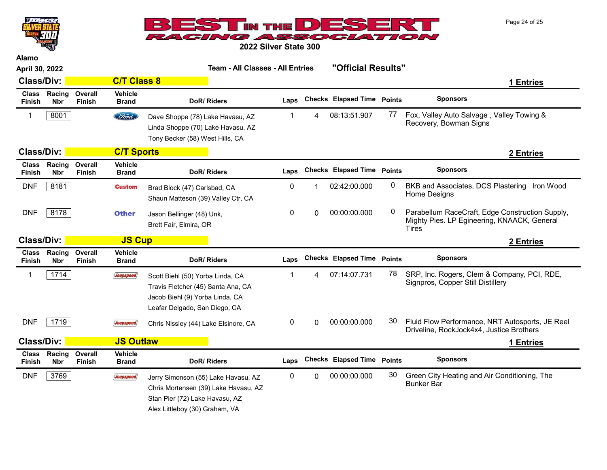Page 24 of 25



2022 Silver State 300

Alamo

 $\overline{u}$ 

| April 30, 2022                |                      |                          |                                | <b>Team - All Classes - All Entries</b>                                                                                                         |           |          |                                   |    | "Official Results"                                                                                             |  |  |  |
|-------------------------------|----------------------|--------------------------|--------------------------------|-------------------------------------------------------------------------------------------------------------------------------------------------|-----------|----------|-----------------------------------|----|----------------------------------------------------------------------------------------------------------------|--|--|--|
| <b>Class/Div:</b>             |                      |                          | <b>C/T Class 8</b>             |                                                                                                                                                 |           |          |                                   |    | 1 Entries                                                                                                      |  |  |  |
| <b>Class</b><br>Finish        | Racing<br><b>Nbr</b> | Overall<br>Finish        | Vehicle<br><b>Brand</b>        | DoR/Riders                                                                                                                                      | Laps      |          | <b>Checks Elapsed Time Points</b> |    | <b>Sponsors</b>                                                                                                |  |  |  |
| 1                             | 8001                 |                          | <b>Ford</b>                    | Dave Shoppe (78) Lake Havasu, AZ<br>Linda Shoppe (70) Lake Havasu, AZ<br>Tony Becker (58) West Hills, CA                                        | 1         | 4        | 08:13:51.907                      | 77 | Fox, Valley Auto Salvage, Valley Towing &<br>Recovery, Bowman Signs                                            |  |  |  |
| <b>Class/Div:</b>             |                      |                          | <b>C/T Sports</b>              |                                                                                                                                                 |           |          |                                   |    | 2 Entries                                                                                                      |  |  |  |
| <b>Class</b><br><b>Finish</b> | Racing<br><b>Nbr</b> | Overall<br><b>Finish</b> | <b>Vehicle</b><br><b>Brand</b> | DoR/Riders                                                                                                                                      | Laps      |          | <b>Checks Elapsed Time Points</b> |    | <b>Sponsors</b>                                                                                                |  |  |  |
| <b>DNF</b>                    | 8181                 |                          | <b>Custom</b>                  | Brad Block (47) Carlsbad, CA<br>Shaun Matteson (39) Valley Ctr, CA                                                                              | 0         |          | 02:42:00.000                      | 0  | BKB and Associates, DCS Plastering Iron Wood<br>Home Designs                                                   |  |  |  |
| <b>DNF</b>                    | 8178                 |                          | <b>Other</b>                   | Jason Bellinger (48) Unk,<br>Brett Fair, Elmira, OR                                                                                             | 0         | 0        | 00:00:00.000                      | 0  | Parabellum RaceCraft, Edge Construction Supply,<br>Mighty Pies. LP Egineering, KNAACK, General<br><b>Tires</b> |  |  |  |
| <b>Class/Div:</b>             |                      |                          | <b>JS Cup</b>                  |                                                                                                                                                 |           |          |                                   |    | 2 Entries                                                                                                      |  |  |  |
| <b>Class</b><br>Finish        | Racing<br><b>Nbr</b> | Overall<br><b>Finish</b> | <b>Vehicle</b><br><b>Brand</b> | DoR/Riders                                                                                                                                      | Laps      |          | <b>Checks Elapsed Time Points</b> |    | <b>Sponsors</b>                                                                                                |  |  |  |
| 1                             | 1714                 |                          | Jeepspeed                      | Scott Biehl (50) Yorba Linda, CA<br>Travis Fletcher (45) Santa Ana, CA<br>Jacob Biehl (9) Yorba Linda, CA<br>Leafar Delgado, San Diego, CA      | 1         | 4        | 07:14:07.731                      | 78 | SRP, Inc. Rogers, Clem & Company, PCI, RDE,<br>Signpros, Copper Still Distillery                               |  |  |  |
| <b>DNF</b>                    | 1719                 |                          | <b>Jeepspeed</b>               | Chris Nissley (44) Lake Elsinore, CA                                                                                                            | 0         | 0        | 00:00:00.000                      | 30 | Fluid Flow Performance, NRT Autosports, JE Reel<br>Driveline, RockJock4x4, Justice Brothers                    |  |  |  |
| <b>Class/Div:</b>             |                      |                          | <b>JS Outlaw</b>               |                                                                                                                                                 |           |          |                                   |    | 1 Entries                                                                                                      |  |  |  |
| <b>Class</b><br>Finish        | Racing<br><b>Nbr</b> | Overall<br>Finish        | Vehicle<br><b>Brand</b>        | DoR/Riders                                                                                                                                      | Laps      |          | <b>Checks Elapsed Time Points</b> |    | <b>Sponsors</b>                                                                                                |  |  |  |
| <b>DNF</b>                    | 3769                 |                          | Jeepspeed                      | Jerry Simonson (55) Lake Havasu, AZ<br>Chris Mortensen (39) Lake Havasu, AZ<br>Stan Pier (72) Lake Havasu, AZ<br>Alex Littleboy (30) Graham, VA | $\pmb{0}$ | $\Omega$ | 00:00:00.000                      | 30 | Green City Heating and Air Conditioning, The<br><b>Bunker Bar</b>                                              |  |  |  |